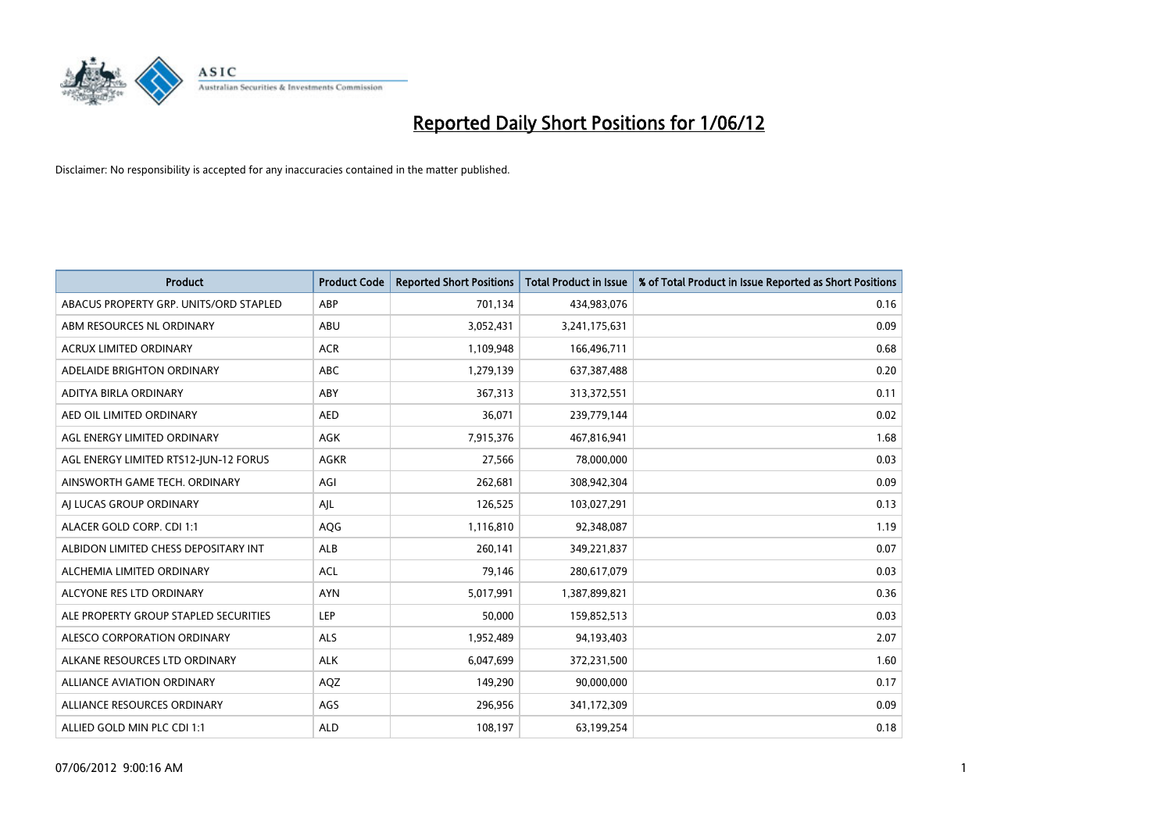

| <b>Product</b>                         | <b>Product Code</b> | <b>Reported Short Positions</b> | <b>Total Product in Issue</b> | % of Total Product in Issue Reported as Short Positions |
|----------------------------------------|---------------------|---------------------------------|-------------------------------|---------------------------------------------------------|
| ABACUS PROPERTY GRP. UNITS/ORD STAPLED | ABP                 | 701,134                         | 434,983,076                   | 0.16                                                    |
| ABM RESOURCES NL ORDINARY              | ABU                 | 3,052,431                       | 3,241,175,631                 | 0.09                                                    |
| <b>ACRUX LIMITED ORDINARY</b>          | <b>ACR</b>          | 1,109,948                       | 166,496,711                   | 0.68                                                    |
| ADELAIDE BRIGHTON ORDINARY             | <b>ABC</b>          | 1,279,139                       | 637,387,488                   | 0.20                                                    |
| ADITYA BIRLA ORDINARY                  | ABY                 | 367,313                         | 313,372,551                   | 0.11                                                    |
| AED OIL LIMITED ORDINARY               | <b>AED</b>          | 36,071                          | 239,779,144                   | 0.02                                                    |
| AGL ENERGY LIMITED ORDINARY            | AGK                 | 7,915,376                       | 467,816,941                   | 1.68                                                    |
| AGL ENERGY LIMITED RTS12-JUN-12 FORUS  | <b>AGKR</b>         | 27,566                          | 78,000,000                    | 0.03                                                    |
| AINSWORTH GAME TECH. ORDINARY          | AGI                 | 262,681                         | 308,942,304                   | 0.09                                                    |
| AI LUCAS GROUP ORDINARY                | AJL                 | 126,525                         | 103,027,291                   | 0.13                                                    |
| ALACER GOLD CORP. CDI 1:1              | AQG                 | 1,116,810                       | 92,348,087                    | 1.19                                                    |
| ALBIDON LIMITED CHESS DEPOSITARY INT   | <b>ALB</b>          | 260,141                         | 349,221,837                   | 0.07                                                    |
| ALCHEMIA LIMITED ORDINARY              | <b>ACL</b>          | 79,146                          | 280,617,079                   | 0.03                                                    |
| ALCYONE RES LTD ORDINARY               | <b>AYN</b>          | 5,017,991                       | 1,387,899,821                 | 0.36                                                    |
| ALE PROPERTY GROUP STAPLED SECURITIES  | <b>LEP</b>          | 50,000                          | 159,852,513                   | 0.03                                                    |
| ALESCO CORPORATION ORDINARY            | ALS                 | 1,952,489                       | 94,193,403                    | 2.07                                                    |
| ALKANE RESOURCES LTD ORDINARY          | <b>ALK</b>          | 6,047,699                       | 372,231,500                   | 1.60                                                    |
| ALLIANCE AVIATION ORDINARY             | AQZ                 | 149,290                         | 90,000,000                    | 0.17                                                    |
| ALLIANCE RESOURCES ORDINARY            | AGS                 | 296,956                         | 341,172,309                   | 0.09                                                    |
| ALLIED GOLD MIN PLC CDI 1:1            | <b>ALD</b>          | 108,197                         | 63,199,254                    | 0.18                                                    |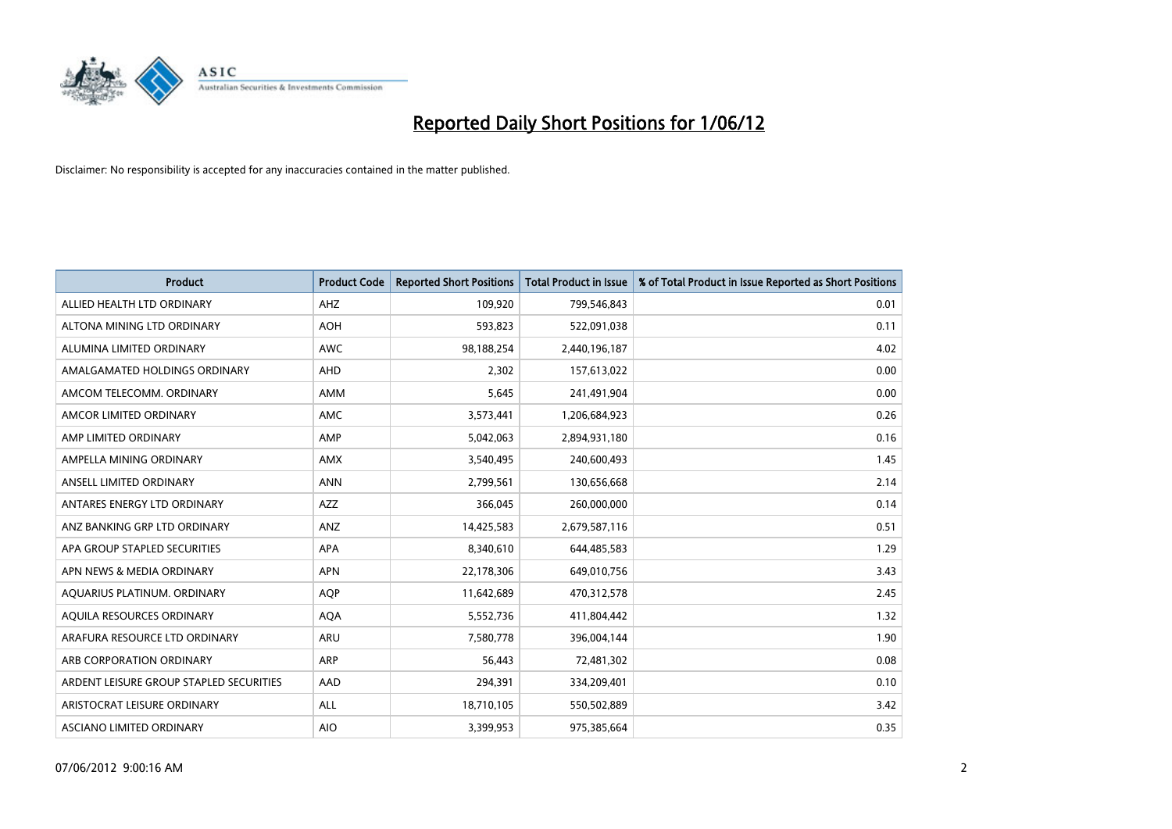

| <b>Product</b>                          | <b>Product Code</b> | <b>Reported Short Positions</b> | <b>Total Product in Issue</b> | % of Total Product in Issue Reported as Short Positions |
|-----------------------------------------|---------------------|---------------------------------|-------------------------------|---------------------------------------------------------|
| ALLIED HEALTH LTD ORDINARY              | AHZ                 | 109,920                         | 799,546,843                   | 0.01                                                    |
| ALTONA MINING LTD ORDINARY              | <b>AOH</b>          | 593,823                         | 522,091,038                   | 0.11                                                    |
| ALUMINA LIMITED ORDINARY                | <b>AWC</b>          | 98,188,254                      | 2,440,196,187                 | 4.02                                                    |
| AMALGAMATED HOLDINGS ORDINARY           | <b>AHD</b>          | 2,302                           | 157,613,022                   | 0.00                                                    |
| AMCOM TELECOMM, ORDINARY                | AMM                 | 5,645                           | 241,491,904                   | 0.00                                                    |
| AMCOR LIMITED ORDINARY                  | AMC                 | 3,573,441                       | 1,206,684,923                 | 0.26                                                    |
| AMP LIMITED ORDINARY                    | AMP                 | 5,042,063                       | 2,894,931,180                 | 0.16                                                    |
| AMPELLA MINING ORDINARY                 | AMX                 | 3,540,495                       | 240,600,493                   | 1.45                                                    |
| ANSELL LIMITED ORDINARY                 | <b>ANN</b>          | 2,799,561                       | 130,656,668                   | 2.14                                                    |
| ANTARES ENERGY LTD ORDINARY             | AZZ                 | 366,045                         | 260,000,000                   | 0.14                                                    |
| ANZ BANKING GRP LTD ORDINARY            | ANZ                 | 14,425,583                      | 2,679,587,116                 | 0.51                                                    |
| APA GROUP STAPLED SECURITIES            | APA                 | 8,340,610                       | 644,485,583                   | 1.29                                                    |
| APN NEWS & MEDIA ORDINARY               | <b>APN</b>          | 22,178,306                      | 649,010,756                   | 3.43                                                    |
| AQUARIUS PLATINUM. ORDINARY             | <b>AOP</b>          | 11,642,689                      | 470,312,578                   | 2.45                                                    |
| AQUILA RESOURCES ORDINARY               | <b>AQA</b>          | 5,552,736                       | 411,804,442                   | 1.32                                                    |
| ARAFURA RESOURCE LTD ORDINARY           | ARU                 | 7,580,778                       | 396,004,144                   | 1.90                                                    |
| ARB CORPORATION ORDINARY                | ARP                 | 56,443                          | 72,481,302                    | 0.08                                                    |
| ARDENT LEISURE GROUP STAPLED SECURITIES | AAD                 | 294,391                         | 334,209,401                   | 0.10                                                    |
| ARISTOCRAT LEISURE ORDINARY             | ALL                 | 18,710,105                      | 550,502,889                   | 3.42                                                    |
| ASCIANO LIMITED ORDINARY                | <b>AIO</b>          | 3,399,953                       | 975,385,664                   | 0.35                                                    |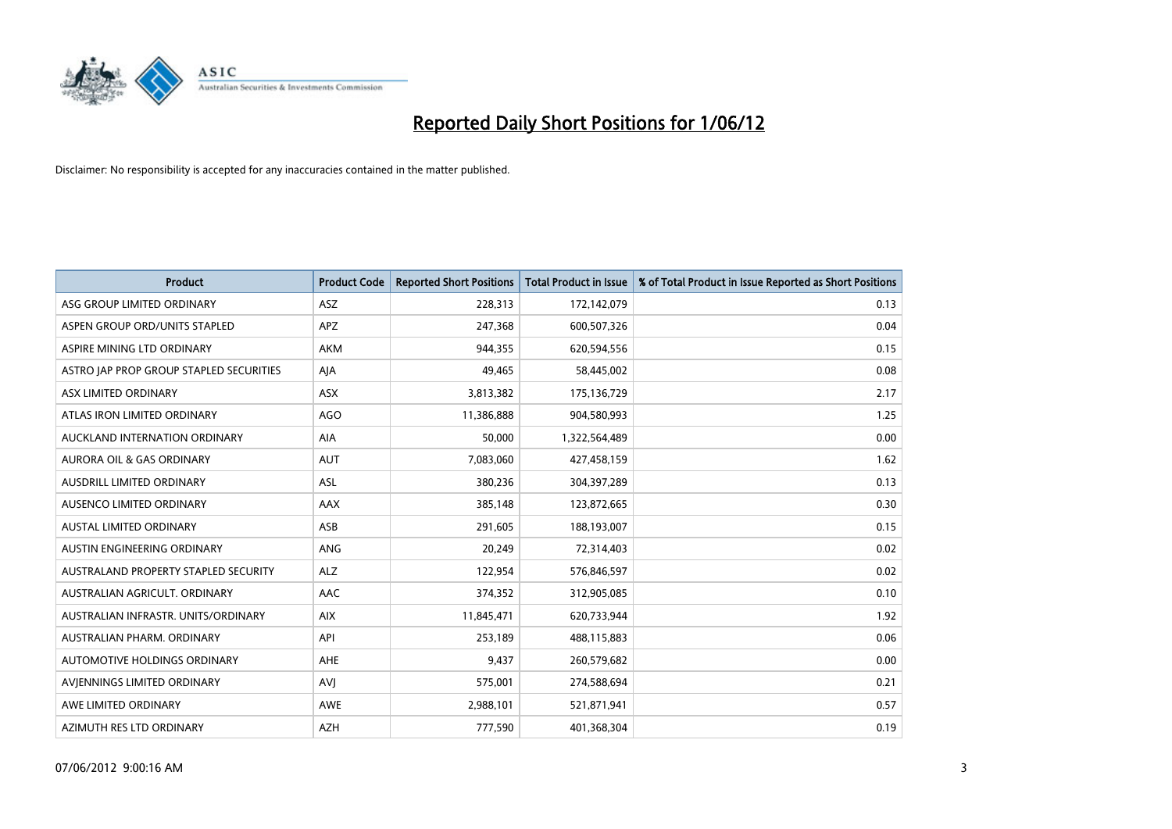

| <b>Product</b>                          | <b>Product Code</b> | <b>Reported Short Positions</b> | <b>Total Product in Issue</b> | % of Total Product in Issue Reported as Short Positions |
|-----------------------------------------|---------------------|---------------------------------|-------------------------------|---------------------------------------------------------|
| ASG GROUP LIMITED ORDINARY              | <b>ASZ</b>          | 228,313                         | 172,142,079                   | 0.13                                                    |
| ASPEN GROUP ORD/UNITS STAPLED           | APZ                 | 247,368                         | 600,507,326                   | 0.04                                                    |
| ASPIRE MINING LTD ORDINARY              | <b>AKM</b>          | 944,355                         | 620,594,556                   | 0.15                                                    |
| ASTRO JAP PROP GROUP STAPLED SECURITIES | AJA                 | 49,465                          | 58,445,002                    | 0.08                                                    |
| ASX LIMITED ORDINARY                    | ASX                 | 3,813,382                       | 175,136,729                   | 2.17                                                    |
| ATLAS IRON LIMITED ORDINARY             | <b>AGO</b>          | 11,386,888                      | 904,580,993                   | 1.25                                                    |
| AUCKLAND INTERNATION ORDINARY           | AIA                 | 50,000                          | 1,322,564,489                 | 0.00                                                    |
| AURORA OIL & GAS ORDINARY               | AUT                 | 7,083,060                       | 427,458,159                   | 1.62                                                    |
| AUSDRILL LIMITED ORDINARY               | <b>ASL</b>          | 380,236                         | 304,397,289                   | 0.13                                                    |
| AUSENCO LIMITED ORDINARY                | AAX                 | 385,148                         | 123,872,665                   | 0.30                                                    |
| AUSTAL LIMITED ORDINARY                 | ASB                 | 291,605                         | 188,193,007                   | 0.15                                                    |
| AUSTIN ENGINEERING ORDINARY             | ANG                 | 20,249                          | 72,314,403                    | 0.02                                                    |
| AUSTRALAND PROPERTY STAPLED SECURITY    | <b>ALZ</b>          | 122,954                         | 576,846,597                   | 0.02                                                    |
| AUSTRALIAN AGRICULT, ORDINARY           | AAC                 | 374,352                         | 312,905,085                   | 0.10                                                    |
| AUSTRALIAN INFRASTR, UNITS/ORDINARY     | <b>AIX</b>          | 11,845,471                      | 620,733,944                   | 1.92                                                    |
| AUSTRALIAN PHARM. ORDINARY              | API                 | 253,189                         | 488,115,883                   | 0.06                                                    |
| AUTOMOTIVE HOLDINGS ORDINARY            | AHE                 | 9,437                           | 260,579,682                   | 0.00                                                    |
| AVJENNINGS LIMITED ORDINARY             | <b>AVJ</b>          | 575,001                         | 274,588,694                   | 0.21                                                    |
| AWE LIMITED ORDINARY                    | <b>AWE</b>          | 2,988,101                       | 521,871,941                   | 0.57                                                    |
| AZIMUTH RES LTD ORDINARY                | <b>AZH</b>          | 777,590                         | 401,368,304                   | 0.19                                                    |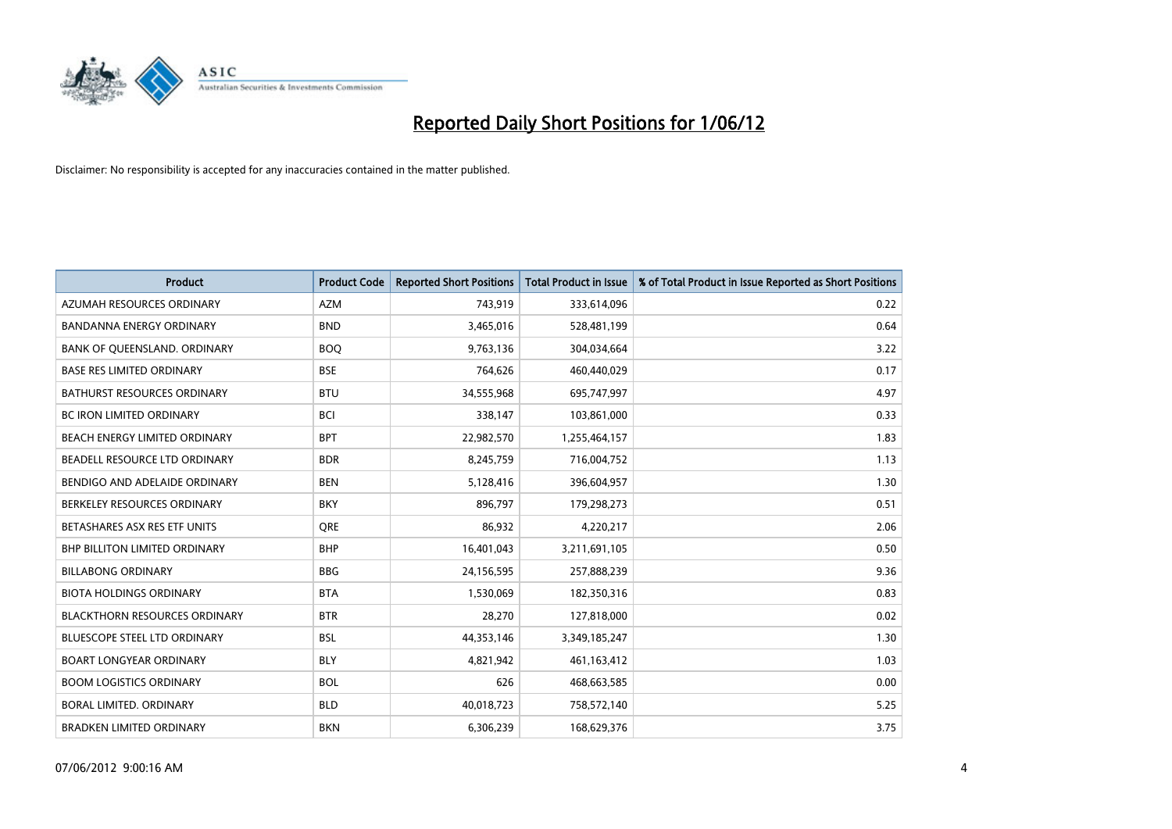

| <b>Product</b>                       | <b>Product Code</b> | <b>Reported Short Positions</b> | <b>Total Product in Issue</b> | % of Total Product in Issue Reported as Short Positions |
|--------------------------------------|---------------------|---------------------------------|-------------------------------|---------------------------------------------------------|
| AZUMAH RESOURCES ORDINARY            | <b>AZM</b>          | 743,919                         | 333,614,096                   | 0.22                                                    |
| BANDANNA ENERGY ORDINARY             | <b>BND</b>          | 3,465,016                       | 528,481,199                   | 0.64                                                    |
| BANK OF QUEENSLAND. ORDINARY         | <b>BOQ</b>          | 9,763,136                       | 304,034,664                   | 3.22                                                    |
| <b>BASE RES LIMITED ORDINARY</b>     | <b>BSE</b>          | 764,626                         | 460,440,029                   | 0.17                                                    |
| <b>BATHURST RESOURCES ORDINARY</b>   | <b>BTU</b>          | 34,555,968                      | 695,747,997                   | 4.97                                                    |
| <b>BC IRON LIMITED ORDINARY</b>      | <b>BCI</b>          | 338,147                         | 103,861,000                   | 0.33                                                    |
| <b>BEACH ENERGY LIMITED ORDINARY</b> | <b>BPT</b>          | 22,982,570                      | 1,255,464,157                 | 1.83                                                    |
| BEADELL RESOURCE LTD ORDINARY        | <b>BDR</b>          | 8,245,759                       | 716,004,752                   | 1.13                                                    |
| BENDIGO AND ADELAIDE ORDINARY        | <b>BEN</b>          | 5,128,416                       | 396,604,957                   | 1.30                                                    |
| BERKELEY RESOURCES ORDINARY          | <b>BKY</b>          | 896,797                         | 179,298,273                   | 0.51                                                    |
| BETASHARES ASX RES ETF UNITS         | <b>ORE</b>          | 86,932                          | 4,220,217                     | 2.06                                                    |
| BHP BILLITON LIMITED ORDINARY        | <b>BHP</b>          | 16,401,043                      | 3,211,691,105                 | 0.50                                                    |
| <b>BILLABONG ORDINARY</b>            | <b>BBG</b>          | 24,156,595                      | 257,888,239                   | 9.36                                                    |
| <b>BIOTA HOLDINGS ORDINARY</b>       | <b>BTA</b>          | 1,530,069                       | 182,350,316                   | 0.83                                                    |
| <b>BLACKTHORN RESOURCES ORDINARY</b> | <b>BTR</b>          | 28,270                          | 127,818,000                   | 0.02                                                    |
| BLUESCOPE STEEL LTD ORDINARY         | <b>BSL</b>          | 44,353,146                      | 3,349,185,247                 | 1.30                                                    |
| <b>BOART LONGYEAR ORDINARY</b>       | <b>BLY</b>          | 4,821,942                       | 461,163,412                   | 1.03                                                    |
| <b>BOOM LOGISTICS ORDINARY</b>       | <b>BOL</b>          | 626                             | 468,663,585                   | 0.00                                                    |
| <b>BORAL LIMITED, ORDINARY</b>       | <b>BLD</b>          | 40,018,723                      | 758,572,140                   | 5.25                                                    |
| <b>BRADKEN LIMITED ORDINARY</b>      | <b>BKN</b>          | 6,306,239                       | 168,629,376                   | 3.75                                                    |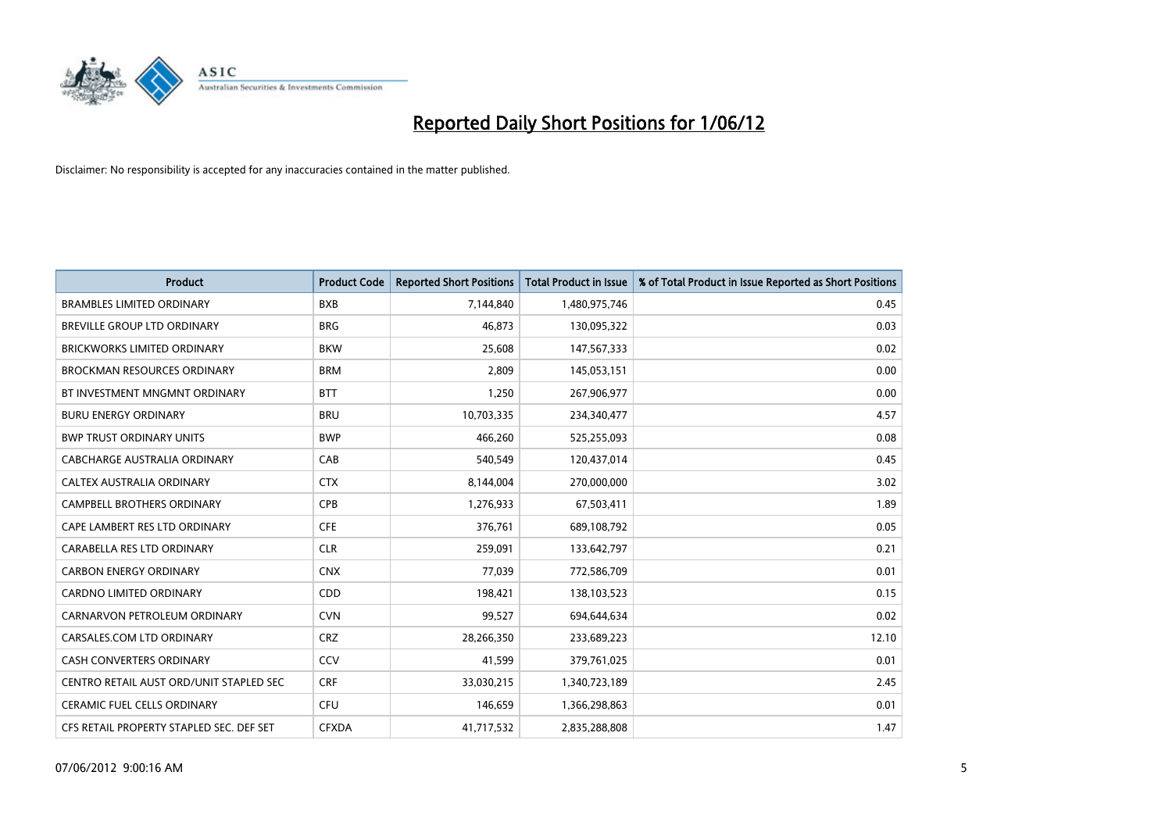

| <b>Product</b>                           | <b>Product Code</b> | <b>Reported Short Positions</b> | <b>Total Product in Issue</b> | % of Total Product in Issue Reported as Short Positions |
|------------------------------------------|---------------------|---------------------------------|-------------------------------|---------------------------------------------------------|
| <b>BRAMBLES LIMITED ORDINARY</b>         | <b>BXB</b>          | 7,144,840                       | 1,480,975,746                 | 0.45                                                    |
| <b>BREVILLE GROUP LTD ORDINARY</b>       | <b>BRG</b>          | 46.873                          | 130,095,322                   | 0.03                                                    |
| <b>BRICKWORKS LIMITED ORDINARY</b>       | <b>BKW</b>          | 25,608                          | 147,567,333                   | 0.02                                                    |
| <b>BROCKMAN RESOURCES ORDINARY</b>       | <b>BRM</b>          | 2,809                           | 145,053,151                   | 0.00                                                    |
| BT INVESTMENT MNGMNT ORDINARY            | <b>BTT</b>          | 1,250                           | 267,906,977                   | 0.00                                                    |
| <b>BURU ENERGY ORDINARY</b>              | <b>BRU</b>          | 10,703,335                      | 234,340,477                   | 4.57                                                    |
| <b>BWP TRUST ORDINARY UNITS</b>          | <b>BWP</b>          | 466,260                         | 525,255,093                   | 0.08                                                    |
| <b>CABCHARGE AUSTRALIA ORDINARY</b>      | CAB                 | 540,549                         | 120,437,014                   | 0.45                                                    |
| CALTEX AUSTRALIA ORDINARY                | <b>CTX</b>          | 8,144,004                       | 270,000,000                   | 3.02                                                    |
| <b>CAMPBELL BROTHERS ORDINARY</b>        | <b>CPB</b>          | 1,276,933                       | 67,503,411                    | 1.89                                                    |
| CAPE LAMBERT RES LTD ORDINARY            | <b>CFE</b>          | 376,761                         | 689,108,792                   | 0.05                                                    |
| CARABELLA RES LTD ORDINARY               | <b>CLR</b>          | 259,091                         | 133,642,797                   | 0.21                                                    |
| <b>CARBON ENERGY ORDINARY</b>            | <b>CNX</b>          | 77.039                          | 772,586,709                   | 0.01                                                    |
| <b>CARDNO LIMITED ORDINARY</b>           | CDD                 | 198,421                         | 138,103,523                   | 0.15                                                    |
| CARNARVON PETROLEUM ORDINARY             | <b>CVN</b>          | 99,527                          | 694,644,634                   | 0.02                                                    |
| CARSALES.COM LTD ORDINARY                | <b>CRZ</b>          | 28,266,350                      | 233,689,223                   | 12.10                                                   |
| <b>CASH CONVERTERS ORDINARY</b>          | CCV                 | 41,599                          | 379,761,025                   | 0.01                                                    |
| CENTRO RETAIL AUST ORD/UNIT STAPLED SEC  | <b>CRF</b>          | 33,030,215                      | 1,340,723,189                 | 2.45                                                    |
| <b>CERAMIC FUEL CELLS ORDINARY</b>       | <b>CFU</b>          | 146,659                         | 1,366,298,863                 | 0.01                                                    |
| CFS RETAIL PROPERTY STAPLED SEC. DEF SET | <b>CFXDA</b>        | 41,717,532                      | 2,835,288,808                 | 1.47                                                    |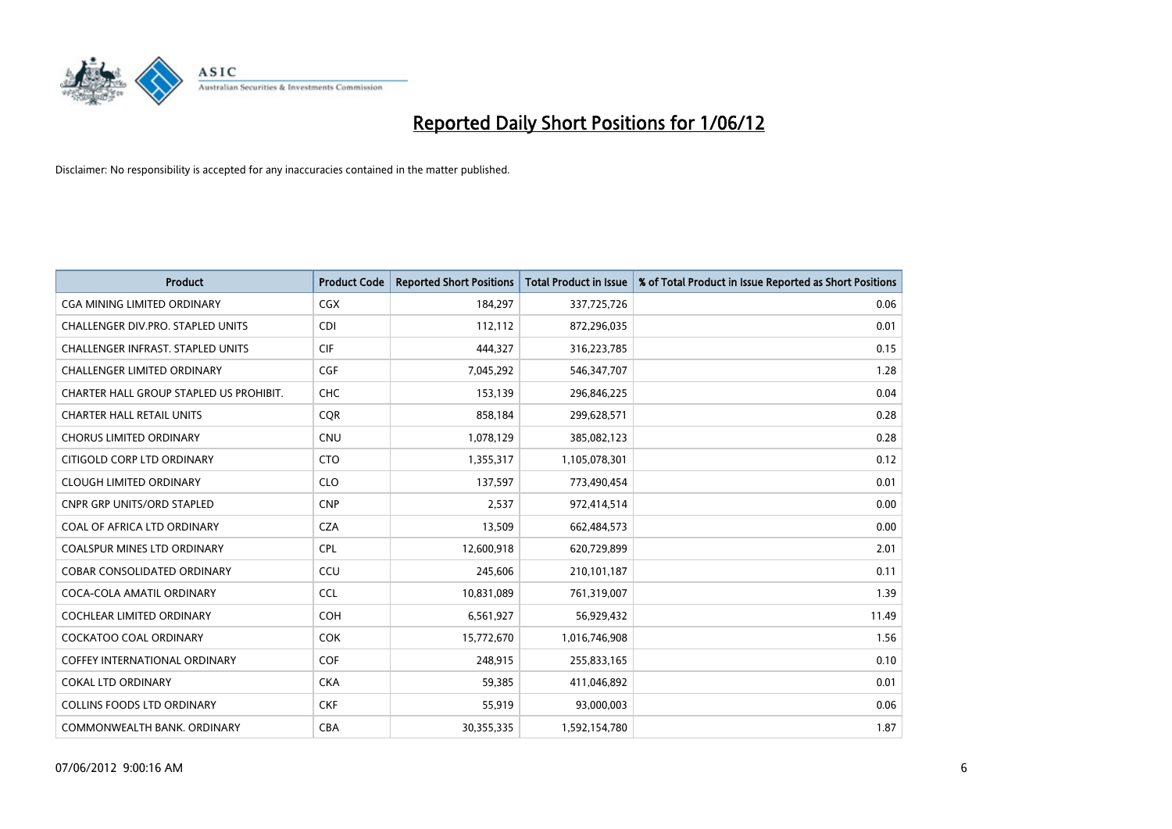

| <b>Product</b>                           | <b>Product Code</b> | <b>Reported Short Positions</b> | <b>Total Product in Issue</b> | % of Total Product in Issue Reported as Short Positions |
|------------------------------------------|---------------------|---------------------------------|-------------------------------|---------------------------------------------------------|
| CGA MINING LIMITED ORDINARY              | CGX                 | 184,297                         | 337,725,726                   | 0.06                                                    |
| CHALLENGER DIV.PRO. STAPLED UNITS        | CDI                 | 112,112                         | 872,296,035                   | 0.01                                                    |
| <b>CHALLENGER INFRAST, STAPLED UNITS</b> | <b>CIF</b>          | 444,327                         | 316,223,785                   | 0.15                                                    |
| CHALLENGER LIMITED ORDINARY              | <b>CGF</b>          | 7,045,292                       | 546, 347, 707                 | 1.28                                                    |
| CHARTER HALL GROUP STAPLED US PROHIBIT.  | <b>CHC</b>          | 153,139                         | 296,846,225                   | 0.04                                                    |
| <b>CHARTER HALL RETAIL UNITS</b>         | CQR                 | 858,184                         | 299,628,571                   | 0.28                                                    |
| <b>CHORUS LIMITED ORDINARY</b>           | <b>CNU</b>          | 1,078,129                       | 385,082,123                   | 0.28                                                    |
| CITIGOLD CORP LTD ORDINARY               | <b>CTO</b>          | 1,355,317                       | 1,105,078,301                 | 0.12                                                    |
| <b>CLOUGH LIMITED ORDINARY</b>           | <b>CLO</b>          | 137,597                         | 773,490,454                   | 0.01                                                    |
| CNPR GRP UNITS/ORD STAPLED               | <b>CNP</b>          | 2,537                           | 972,414,514                   | 0.00                                                    |
| COAL OF AFRICA LTD ORDINARY              | <b>CZA</b>          | 13,509                          | 662,484,573                   | 0.00                                                    |
| <b>COALSPUR MINES LTD ORDINARY</b>       | <b>CPL</b>          | 12,600,918                      | 620,729,899                   | 2.01                                                    |
| COBAR CONSOLIDATED ORDINARY              | CCU                 | 245,606                         | 210,101,187                   | 0.11                                                    |
| COCA-COLA AMATIL ORDINARY                | <b>CCL</b>          | 10,831,089                      | 761,319,007                   | 1.39                                                    |
| <b>COCHLEAR LIMITED ORDINARY</b>         | <b>COH</b>          | 6,561,927                       | 56,929,432                    | 11.49                                                   |
| <b>COCKATOO COAL ORDINARY</b>            | <b>COK</b>          | 15,772,670                      | 1,016,746,908                 | 1.56                                                    |
| <b>COFFEY INTERNATIONAL ORDINARY</b>     | <b>COF</b>          | 248,915                         | 255,833,165                   | 0.10                                                    |
| <b>COKAL LTD ORDINARY</b>                | <b>CKA</b>          | 59,385                          | 411,046,892                   | 0.01                                                    |
| <b>COLLINS FOODS LTD ORDINARY</b>        | <b>CKF</b>          | 55,919                          | 93,000,003                    | 0.06                                                    |
| COMMONWEALTH BANK, ORDINARY              | <b>CBA</b>          | 30,355,335                      | 1,592,154,780                 | 1.87                                                    |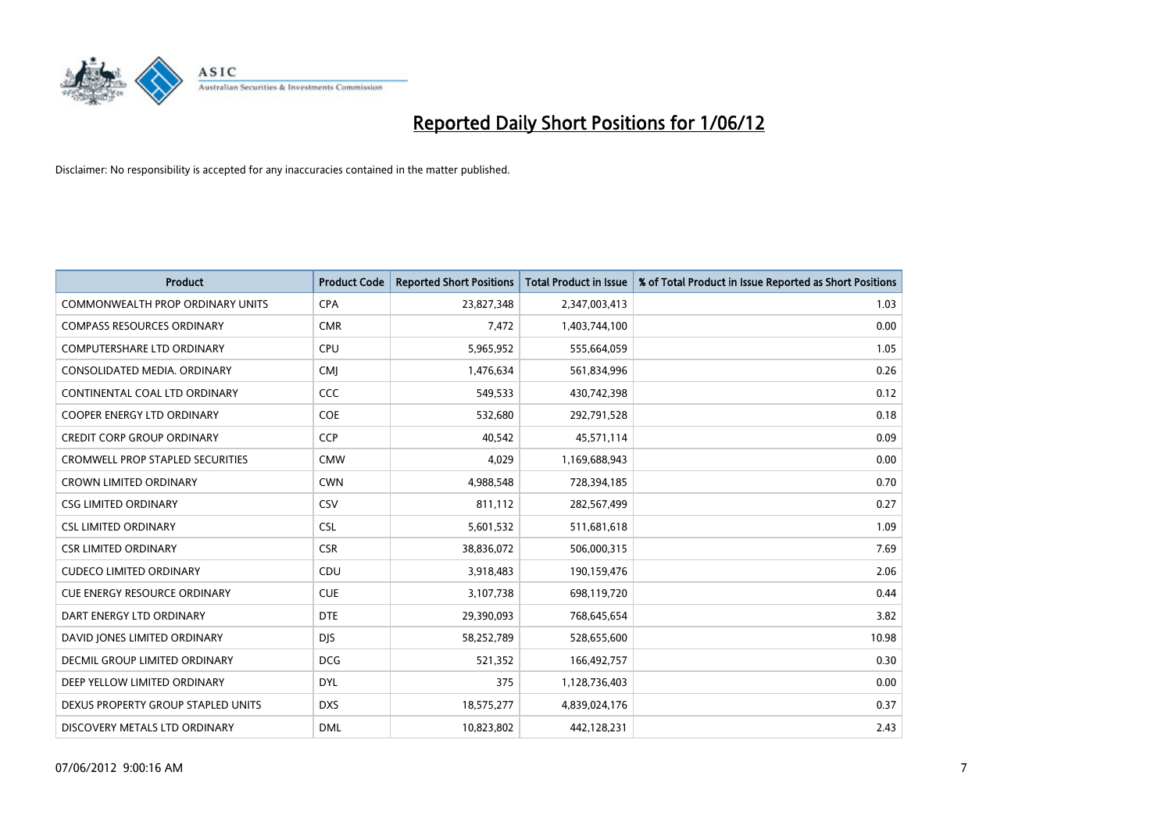

| <b>Product</b>                          | <b>Product Code</b> | <b>Reported Short Positions</b> | <b>Total Product in Issue</b> | % of Total Product in Issue Reported as Short Positions |
|-----------------------------------------|---------------------|---------------------------------|-------------------------------|---------------------------------------------------------|
| <b>COMMONWEALTH PROP ORDINARY UNITS</b> | <b>CPA</b>          | 23,827,348                      | 2,347,003,413                 | 1.03                                                    |
| <b>COMPASS RESOURCES ORDINARY</b>       | <b>CMR</b>          | 7,472                           | 1,403,744,100                 | 0.00                                                    |
| <b>COMPUTERSHARE LTD ORDINARY</b>       | <b>CPU</b>          | 5,965,952                       | 555,664,059                   | 1.05                                                    |
| CONSOLIDATED MEDIA. ORDINARY            | <b>CMI</b>          | 1,476,634                       | 561,834,996                   | 0.26                                                    |
| CONTINENTAL COAL LTD ORDINARY           | CCC                 | 549,533                         | 430,742,398                   | 0.12                                                    |
| <b>COOPER ENERGY LTD ORDINARY</b>       | <b>COE</b>          | 532,680                         | 292,791,528                   | 0.18                                                    |
| <b>CREDIT CORP GROUP ORDINARY</b>       | <b>CCP</b>          | 40,542                          | 45,571,114                    | 0.09                                                    |
| <b>CROMWELL PROP STAPLED SECURITIES</b> | <b>CMW</b>          | 4,029                           | 1,169,688,943                 | 0.00                                                    |
| <b>CROWN LIMITED ORDINARY</b>           | <b>CWN</b>          | 4,988,548                       | 728,394,185                   | 0.70                                                    |
| <b>CSG LIMITED ORDINARY</b>             | CSV                 | 811,112                         | 282,567,499                   | 0.27                                                    |
| <b>CSL LIMITED ORDINARY</b>             | <b>CSL</b>          | 5,601,532                       | 511,681,618                   | 1.09                                                    |
| <b>CSR LIMITED ORDINARY</b>             | <b>CSR</b>          | 38,836,072                      | 506,000,315                   | 7.69                                                    |
| <b>CUDECO LIMITED ORDINARY</b>          | CDU                 | 3,918,483                       | 190,159,476                   | 2.06                                                    |
| <b>CUE ENERGY RESOURCE ORDINARY</b>     | <b>CUE</b>          | 3,107,738                       | 698,119,720                   | 0.44                                                    |
| DART ENERGY LTD ORDINARY                | <b>DTE</b>          | 29,390,093                      | 768,645,654                   | 3.82                                                    |
| DAVID JONES LIMITED ORDINARY            | <b>DJS</b>          | 58,252,789                      | 528,655,600                   | 10.98                                                   |
| <b>DECMIL GROUP LIMITED ORDINARY</b>    | <b>DCG</b>          | 521,352                         | 166,492,757                   | 0.30                                                    |
| DEEP YELLOW LIMITED ORDINARY            | <b>DYL</b>          | 375                             | 1,128,736,403                 | 0.00                                                    |
| DEXUS PROPERTY GROUP STAPLED UNITS      | <b>DXS</b>          | 18,575,277                      | 4,839,024,176                 | 0.37                                                    |
| DISCOVERY METALS LTD ORDINARY           | <b>DML</b>          | 10,823,802                      | 442,128,231                   | 2.43                                                    |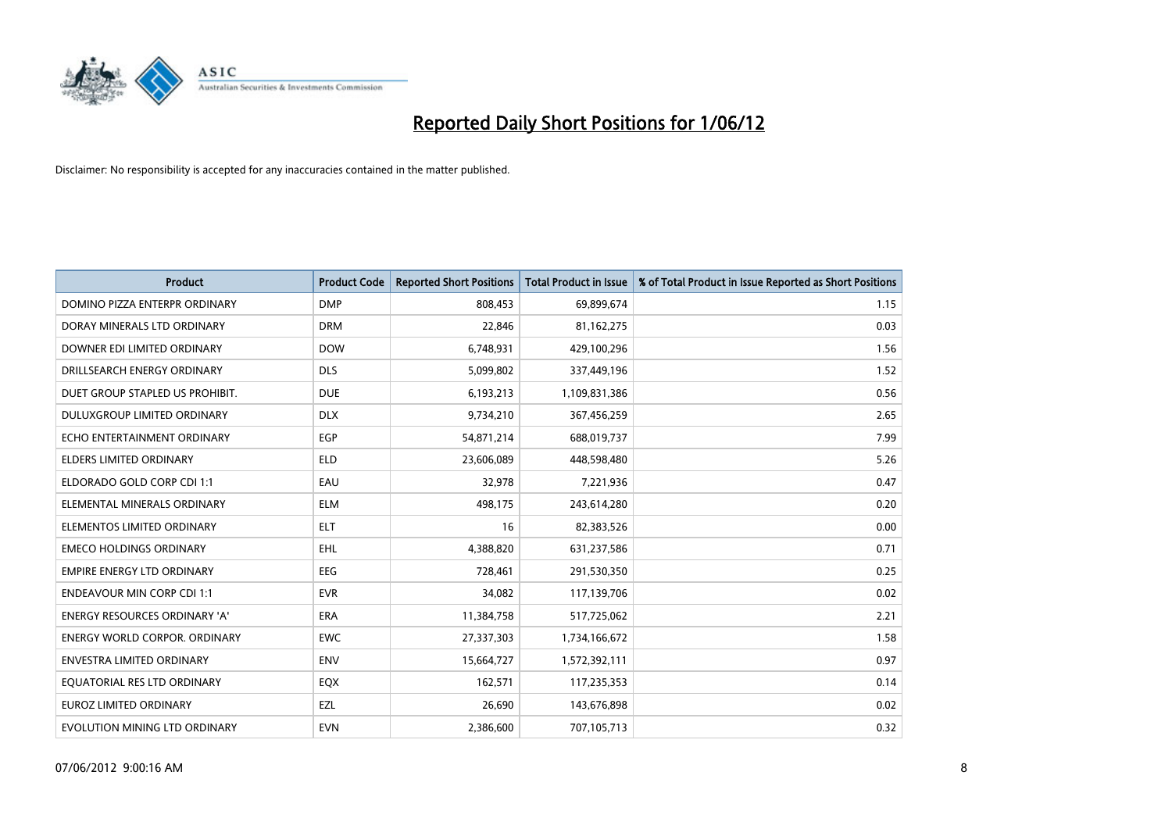

| <b>Product</b>                       | <b>Product Code</b> | <b>Reported Short Positions</b> | <b>Total Product in Issue</b> | % of Total Product in Issue Reported as Short Positions |
|--------------------------------------|---------------------|---------------------------------|-------------------------------|---------------------------------------------------------|
| DOMINO PIZZA ENTERPR ORDINARY        | <b>DMP</b>          | 808.453                         | 69,899,674                    | 1.15                                                    |
| DORAY MINERALS LTD ORDINARY          | <b>DRM</b>          | 22,846                          | 81,162,275                    | 0.03                                                    |
| DOWNER EDI LIMITED ORDINARY          | <b>DOW</b>          | 6,748,931                       | 429,100,296                   | 1.56                                                    |
| DRILLSEARCH ENERGY ORDINARY          | <b>DLS</b>          | 5,099,802                       | 337,449,196                   | 1.52                                                    |
| DUET GROUP STAPLED US PROHIBIT.      | <b>DUE</b>          | 6,193,213                       | 1,109,831,386                 | 0.56                                                    |
| DULUXGROUP LIMITED ORDINARY          | <b>DLX</b>          | 9,734,210                       | 367,456,259                   | 2.65                                                    |
| ECHO ENTERTAINMENT ORDINARY          | <b>EGP</b>          | 54,871,214                      | 688,019,737                   | 7.99                                                    |
| <b>ELDERS LIMITED ORDINARY</b>       | <b>ELD</b>          | 23,606,089                      | 448,598,480                   | 5.26                                                    |
| ELDORADO GOLD CORP CDI 1:1           | EAU                 | 32,978                          | 7,221,936                     | 0.47                                                    |
| ELEMENTAL MINERALS ORDINARY          | <b>ELM</b>          | 498,175                         | 243,614,280                   | 0.20                                                    |
| ELEMENTOS LIMITED ORDINARY           | ELT                 | 16                              | 82,383,526                    | 0.00                                                    |
| <b>EMECO HOLDINGS ORDINARY</b>       | <b>EHL</b>          | 4,388,820                       | 631,237,586                   | 0.71                                                    |
| <b>EMPIRE ENERGY LTD ORDINARY</b>    | <b>EEG</b>          | 728,461                         | 291,530,350                   | 0.25                                                    |
| <b>ENDEAVOUR MIN CORP CDI 1:1</b>    | <b>EVR</b>          | 34,082                          | 117,139,706                   | 0.02                                                    |
| <b>ENERGY RESOURCES ORDINARY 'A'</b> | <b>ERA</b>          | 11,384,758                      | 517,725,062                   | 2.21                                                    |
| <b>ENERGY WORLD CORPOR. ORDINARY</b> | <b>EWC</b>          | 27,337,303                      | 1,734,166,672                 | 1.58                                                    |
| ENVESTRA LIMITED ORDINARY            | <b>ENV</b>          | 15,664,727                      | 1,572,392,111                 | 0.97                                                    |
| EQUATORIAL RES LTD ORDINARY          | EQX                 | 162,571                         | 117,235,353                   | 0.14                                                    |
| <b>EUROZ LIMITED ORDINARY</b>        | EZL                 | 26,690                          | 143,676,898                   | 0.02                                                    |
| EVOLUTION MINING LTD ORDINARY        | <b>EVN</b>          | 2,386,600                       | 707,105,713                   | 0.32                                                    |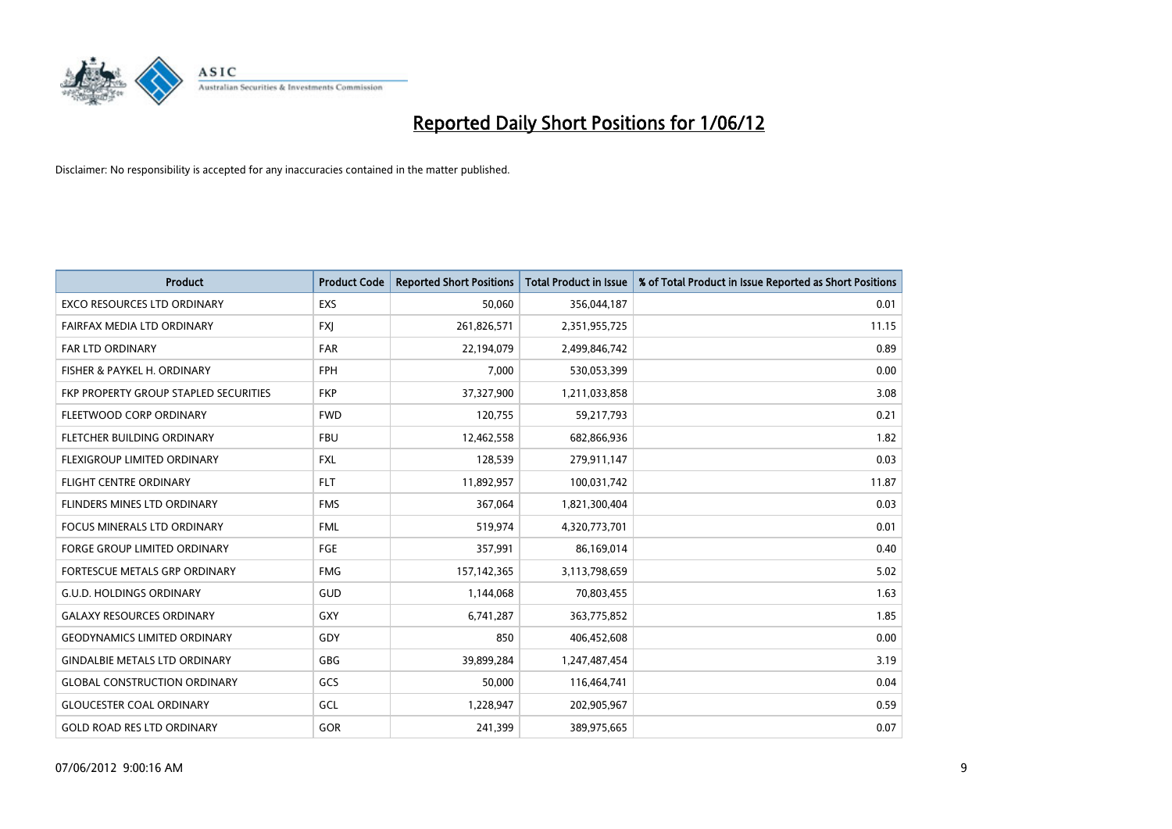

| <b>Product</b>                               | <b>Product Code</b> | <b>Reported Short Positions</b> | <b>Total Product in Issue</b> | % of Total Product in Issue Reported as Short Positions |
|----------------------------------------------|---------------------|---------------------------------|-------------------------------|---------------------------------------------------------|
| <b>EXCO RESOURCES LTD ORDINARY</b>           | <b>EXS</b>          | 50,060                          | 356,044,187                   | 0.01                                                    |
| FAIRFAX MEDIA LTD ORDINARY                   | <b>FXI</b>          | 261,826,571                     | 2,351,955,725                 | 11.15                                                   |
| <b>FAR LTD ORDINARY</b>                      | <b>FAR</b>          | 22,194,079                      | 2,499,846,742                 | 0.89                                                    |
| FISHER & PAYKEL H. ORDINARY                  | <b>FPH</b>          | 7,000                           | 530,053,399                   | 0.00                                                    |
| <b>FKP PROPERTY GROUP STAPLED SECURITIES</b> | <b>FKP</b>          | 37,327,900                      | 1,211,033,858                 | 3.08                                                    |
| FLEETWOOD CORP ORDINARY                      | <b>FWD</b>          | 120,755                         | 59,217,793                    | 0.21                                                    |
| FLETCHER BUILDING ORDINARY                   | <b>FBU</b>          | 12,462,558                      | 682,866,936                   | 1.82                                                    |
| FLEXIGROUP LIMITED ORDINARY                  | <b>FXL</b>          | 128,539                         | 279,911,147                   | 0.03                                                    |
| <b>FLIGHT CENTRE ORDINARY</b>                | <b>FLT</b>          | 11,892,957                      | 100,031,742                   | 11.87                                                   |
| FLINDERS MINES LTD ORDINARY                  | <b>FMS</b>          | 367,064                         | 1,821,300,404                 | 0.03                                                    |
| FOCUS MINERALS LTD ORDINARY                  | <b>FML</b>          | 519,974                         | 4,320,773,701                 | 0.01                                                    |
| <b>FORGE GROUP LIMITED ORDINARY</b>          | <b>FGE</b>          | 357,991                         | 86,169,014                    | 0.40                                                    |
| FORTESCUE METALS GRP ORDINARY                | <b>FMG</b>          | 157, 142, 365                   | 3,113,798,659                 | 5.02                                                    |
| <b>G.U.D. HOLDINGS ORDINARY</b>              | GUD                 | 1,144,068                       | 70,803,455                    | 1.63                                                    |
| <b>GALAXY RESOURCES ORDINARY</b>             | <b>GXY</b>          | 6,741,287                       | 363,775,852                   | 1.85                                                    |
| <b>GEODYNAMICS LIMITED ORDINARY</b>          | GDY                 | 850                             | 406,452,608                   | 0.00                                                    |
| <b>GINDALBIE METALS LTD ORDINARY</b>         | GBG                 | 39,899,284                      | 1,247,487,454                 | 3.19                                                    |
| <b>GLOBAL CONSTRUCTION ORDINARY</b>          | GCS                 | 50,000                          | 116,464,741                   | 0.04                                                    |
| <b>GLOUCESTER COAL ORDINARY</b>              | GCL                 | 1,228,947                       | 202,905,967                   | 0.59                                                    |
| <b>GOLD ROAD RES LTD ORDINARY</b>            | GOR                 | 241,399                         | 389,975,665                   | 0.07                                                    |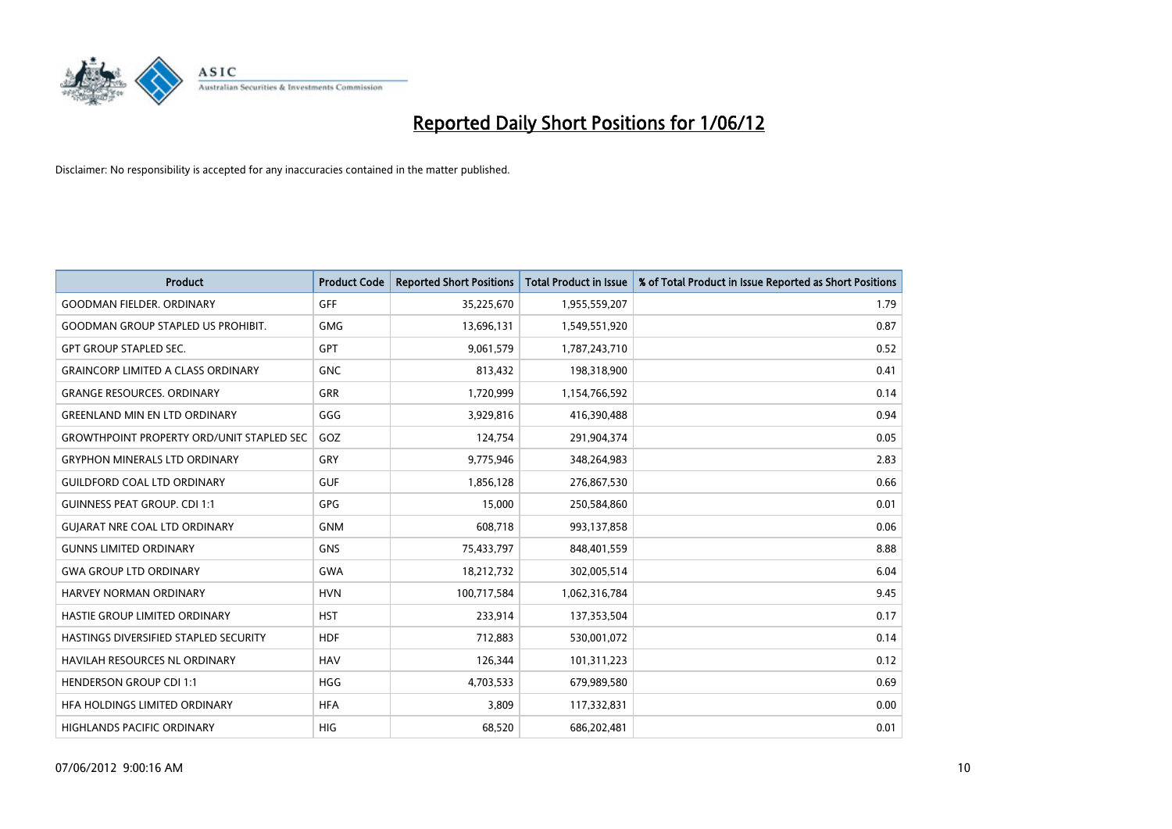

| <b>Product</b>                                   | <b>Product Code</b> | <b>Reported Short Positions</b> | <b>Total Product in Issue</b> | % of Total Product in Issue Reported as Short Positions |
|--------------------------------------------------|---------------------|---------------------------------|-------------------------------|---------------------------------------------------------|
| <b>GOODMAN FIELDER, ORDINARY</b>                 | <b>GFF</b>          | 35,225,670                      | 1,955,559,207                 | 1.79                                                    |
| <b>GOODMAN GROUP STAPLED US PROHIBIT.</b>        | <b>GMG</b>          | 13,696,131                      | 1,549,551,920                 | 0.87                                                    |
| <b>GPT GROUP STAPLED SEC.</b>                    | <b>GPT</b>          | 9,061,579                       | 1,787,243,710                 | 0.52                                                    |
| <b>GRAINCORP LIMITED A CLASS ORDINARY</b>        | <b>GNC</b>          | 813,432                         | 198,318,900                   | 0.41                                                    |
| <b>GRANGE RESOURCES, ORDINARY</b>                | <b>GRR</b>          | 1,720,999                       | 1,154,766,592                 | 0.14                                                    |
| <b>GREENLAND MIN EN LTD ORDINARY</b>             | GGG                 | 3,929,816                       | 416,390,488                   | 0.94                                                    |
| <b>GROWTHPOINT PROPERTY ORD/UNIT STAPLED SEC</b> | GOZ                 | 124,754                         | 291,904,374                   | 0.05                                                    |
| <b>GRYPHON MINERALS LTD ORDINARY</b>             | GRY                 | 9,775,946                       | 348,264,983                   | 2.83                                                    |
| <b>GUILDFORD COAL LTD ORDINARY</b>               | <b>GUF</b>          | 1,856,128                       | 276,867,530                   | 0.66                                                    |
| <b>GUINNESS PEAT GROUP. CDI 1:1</b>              | <b>GPG</b>          | 15,000                          | 250,584,860                   | 0.01                                                    |
| <b>GUIARAT NRE COAL LTD ORDINARY</b>             | <b>GNM</b>          | 608,718                         | 993,137,858                   | 0.06                                                    |
| <b>GUNNS LIMITED ORDINARY</b>                    | <b>GNS</b>          | 75,433,797                      | 848,401,559                   | 8.88                                                    |
| <b>GWA GROUP LTD ORDINARY</b>                    | GWA                 | 18,212,732                      | 302,005,514                   | 6.04                                                    |
| HARVEY NORMAN ORDINARY                           | <b>HVN</b>          | 100,717,584                     | 1,062,316,784                 | 9.45                                                    |
| HASTIE GROUP LIMITED ORDINARY                    | <b>HST</b>          | 233,914                         | 137,353,504                   | 0.17                                                    |
| HASTINGS DIVERSIFIED STAPLED SECURITY            | <b>HDF</b>          | 712,883                         | 530,001,072                   | 0.14                                                    |
| HAVILAH RESOURCES NL ORDINARY                    | <b>HAV</b>          | 126,344                         | 101,311,223                   | 0.12                                                    |
| <b>HENDERSON GROUP CDI 1:1</b>                   | <b>HGG</b>          | 4,703,533                       | 679,989,580                   | 0.69                                                    |
| HFA HOLDINGS LIMITED ORDINARY                    | <b>HFA</b>          | 3,809                           | 117,332,831                   | 0.00                                                    |
| HIGHLANDS PACIFIC ORDINARY                       | <b>HIG</b>          | 68,520                          | 686,202,481                   | 0.01                                                    |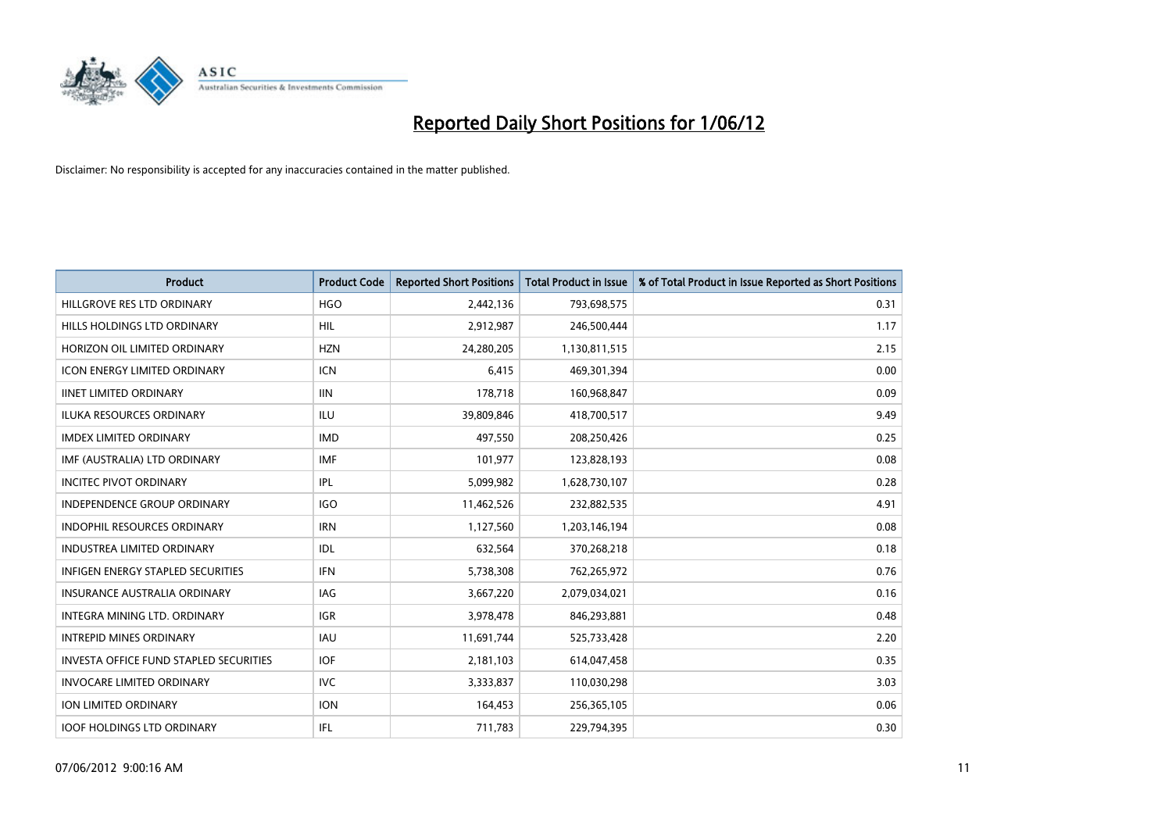

| <b>Product</b>                                | <b>Product Code</b> | <b>Reported Short Positions</b> | <b>Total Product in Issue</b> | % of Total Product in Issue Reported as Short Positions |
|-----------------------------------------------|---------------------|---------------------------------|-------------------------------|---------------------------------------------------------|
| HILLGROVE RES LTD ORDINARY                    | <b>HGO</b>          | 2,442,136                       | 793,698,575                   | 0.31                                                    |
| HILLS HOLDINGS LTD ORDINARY                   | <b>HIL</b>          | 2,912,987                       | 246,500,444                   | 1.17                                                    |
| HORIZON OIL LIMITED ORDINARY                  | <b>HZN</b>          | 24,280,205                      | 1,130,811,515                 | 2.15                                                    |
| ICON ENERGY LIMITED ORDINARY                  | <b>ICN</b>          | 6,415                           | 469,301,394                   | 0.00                                                    |
| <b>IINET LIMITED ORDINARY</b>                 | <b>IIN</b>          | 178,718                         | 160,968,847                   | 0.09                                                    |
| <b>ILUKA RESOURCES ORDINARY</b>               | <b>ILU</b>          | 39,809,846                      | 418,700,517                   | 9.49                                                    |
| <b>IMDEX LIMITED ORDINARY</b>                 | <b>IMD</b>          | 497,550                         | 208,250,426                   | 0.25                                                    |
| IMF (AUSTRALIA) LTD ORDINARY                  | <b>IMF</b>          | 101,977                         | 123,828,193                   | 0.08                                                    |
| <b>INCITEC PIVOT ORDINARY</b>                 | <b>IPL</b>          | 5,099,982                       | 1,628,730,107                 | 0.28                                                    |
| <b>INDEPENDENCE GROUP ORDINARY</b>            | <b>IGO</b>          | 11,462,526                      | 232,882,535                   | 4.91                                                    |
| <b>INDOPHIL RESOURCES ORDINARY</b>            | <b>IRN</b>          | 1,127,560                       | 1,203,146,194                 | 0.08                                                    |
| <b>INDUSTREA LIMITED ORDINARY</b>             | IDL                 | 632,564                         | 370,268,218                   | 0.18                                                    |
| <b>INFIGEN ENERGY STAPLED SECURITIES</b>      | <b>IFN</b>          | 5,738,308                       | 762,265,972                   | 0.76                                                    |
| <b>INSURANCE AUSTRALIA ORDINARY</b>           | IAG                 | 3,667,220                       | 2,079,034,021                 | 0.16                                                    |
| INTEGRA MINING LTD. ORDINARY                  | IGR                 | 3,978,478                       | 846,293,881                   | 0.48                                                    |
| <b>INTREPID MINES ORDINARY</b>                | <b>IAU</b>          | 11,691,744                      | 525,733,428                   | 2.20                                                    |
| <b>INVESTA OFFICE FUND STAPLED SECURITIES</b> | <b>IOF</b>          | 2,181,103                       | 614,047,458                   | 0.35                                                    |
| <b>INVOCARE LIMITED ORDINARY</b>              | <b>IVC</b>          | 3,333,837                       | 110,030,298                   | 3.03                                                    |
| ION LIMITED ORDINARY                          | <b>ION</b>          | 164,453                         | 256,365,105                   | 0.06                                                    |
| <b>IOOF HOLDINGS LTD ORDINARY</b>             | IFL                 | 711,783                         | 229,794,395                   | 0.30                                                    |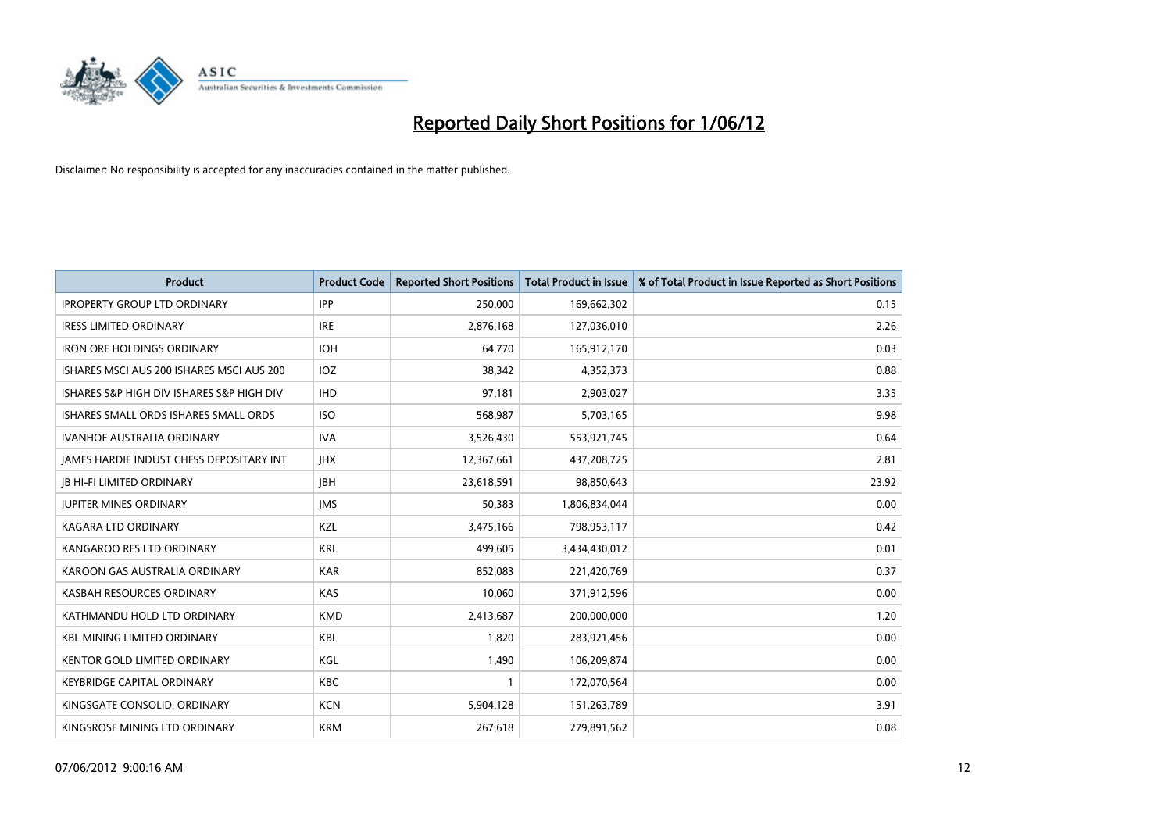

| <b>Product</b>                            | <b>Product Code</b> | <b>Reported Short Positions</b> | <b>Total Product in Issue</b> | % of Total Product in Issue Reported as Short Positions |
|-------------------------------------------|---------------------|---------------------------------|-------------------------------|---------------------------------------------------------|
| <b>IPROPERTY GROUP LTD ORDINARY</b>       | <b>IPP</b>          | 250,000                         | 169,662,302                   | 0.15                                                    |
| <b>IRESS LIMITED ORDINARY</b>             | <b>IRE</b>          | 2,876,168                       | 127,036,010                   | 2.26                                                    |
| <b>IRON ORE HOLDINGS ORDINARY</b>         | <b>IOH</b>          | 64,770                          | 165,912,170                   | 0.03                                                    |
| ISHARES MSCI AUS 200 ISHARES MSCI AUS 200 | IOZ.                | 38,342                          | 4,352,373                     | 0.88                                                    |
| ISHARES S&P HIGH DIV ISHARES S&P HIGH DIV | <b>IHD</b>          | 97,181                          | 2,903,027                     | 3.35                                                    |
| ISHARES SMALL ORDS ISHARES SMALL ORDS     | <b>ISO</b>          | 568,987                         | 5,703,165                     | 9.98                                                    |
| <b>IVANHOE AUSTRALIA ORDINARY</b>         | <b>IVA</b>          | 3,526,430                       | 553,921,745                   | 0.64                                                    |
| JAMES HARDIE INDUST CHESS DEPOSITARY INT  | <b>IHX</b>          | 12,367,661                      | 437,208,725                   | 2.81                                                    |
| <b>JB HI-FI LIMITED ORDINARY</b>          | <b>JBH</b>          | 23,618,591                      | 98,850,643                    | 23.92                                                   |
| <b>JUPITER MINES ORDINARY</b>             | <b>IMS</b>          | 50,383                          | 1,806,834,044                 | 0.00                                                    |
| KAGARA LTD ORDINARY                       | KZL                 | 3,475,166                       | 798,953,117                   | 0.42                                                    |
| KANGAROO RES LTD ORDINARY                 | <b>KRL</b>          | 499,605                         | 3,434,430,012                 | 0.01                                                    |
| KAROON GAS AUSTRALIA ORDINARY             | <b>KAR</b>          | 852,083                         | 221,420,769                   | 0.37                                                    |
| KASBAH RESOURCES ORDINARY                 | KAS                 | 10,060                          | 371,912,596                   | 0.00                                                    |
| KATHMANDU HOLD LTD ORDINARY               | <b>KMD</b>          | 2,413,687                       | 200,000,000                   | 1.20                                                    |
| <b>KBL MINING LIMITED ORDINARY</b>        | KBL                 | 1,820                           | 283,921,456                   | 0.00                                                    |
| KENTOR GOLD LIMITED ORDINARY              | KGL                 | 1,490                           | 106,209,874                   | 0.00                                                    |
| <b>KEYBRIDGE CAPITAL ORDINARY</b>         | <b>KBC</b>          | 1                               | 172,070,564                   | 0.00                                                    |
| KINGSGATE CONSOLID, ORDINARY              | <b>KCN</b>          | 5,904,128                       | 151,263,789                   | 3.91                                                    |
| KINGSROSE MINING LTD ORDINARY             | <b>KRM</b>          | 267,618                         | 279,891,562                   | 0.08                                                    |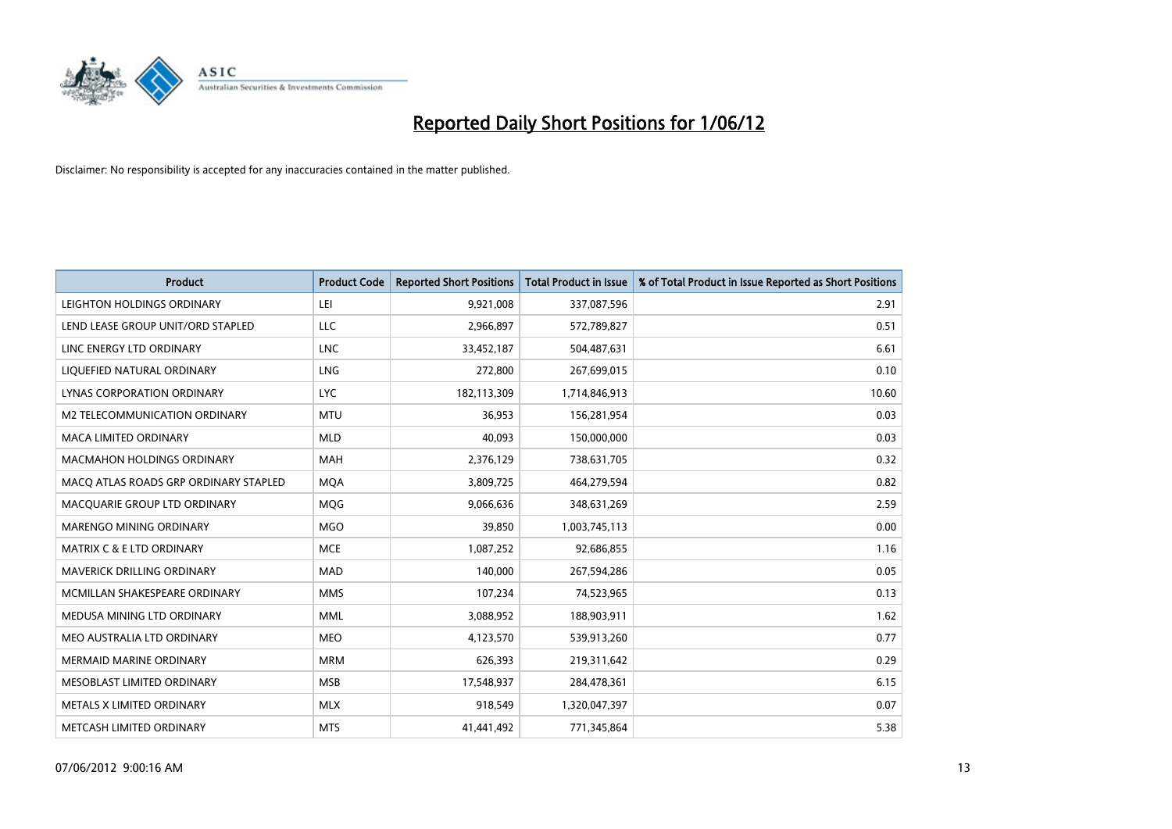

| <b>Product</b>                        | <b>Product Code</b> | <b>Reported Short Positions</b> | <b>Total Product in Issue</b> | % of Total Product in Issue Reported as Short Positions |
|---------------------------------------|---------------------|---------------------------------|-------------------------------|---------------------------------------------------------|
| LEIGHTON HOLDINGS ORDINARY            | LEI                 | 9,921,008                       | 337,087,596                   | 2.91                                                    |
| LEND LEASE GROUP UNIT/ORD STAPLED     | <b>LLC</b>          | 2,966,897                       | 572,789,827                   | 0.51                                                    |
| LINC ENERGY LTD ORDINARY              | <b>LNC</b>          | 33,452,187                      | 504,487,631                   | 6.61                                                    |
| LIQUEFIED NATURAL ORDINARY            | <b>LNG</b>          | 272,800                         | 267,699,015                   | 0.10                                                    |
| LYNAS CORPORATION ORDINARY            | <b>LYC</b>          | 182,113,309                     | 1,714,846,913                 | 10.60                                                   |
| <b>M2 TELECOMMUNICATION ORDINARY</b>  | <b>MTU</b>          | 36,953                          | 156,281,954                   | 0.03                                                    |
| <b>MACA LIMITED ORDINARY</b>          | <b>MLD</b>          | 40,093                          | 150,000,000                   | 0.03                                                    |
| MACMAHON HOLDINGS ORDINARY            | MAH                 | 2,376,129                       | 738,631,705                   | 0.32                                                    |
| MACO ATLAS ROADS GRP ORDINARY STAPLED | <b>MOA</b>          | 3,809,725                       | 464,279,594                   | 0.82                                                    |
| MACQUARIE GROUP LTD ORDINARY          | <b>MOG</b>          | 9,066,636                       | 348,631,269                   | 2.59                                                    |
| MARENGO MINING ORDINARY               | <b>MGO</b>          | 39,850                          | 1,003,745,113                 | 0.00                                                    |
| <b>MATRIX C &amp; E LTD ORDINARY</b>  | <b>MCE</b>          | 1,087,252                       | 92,686,855                    | 1.16                                                    |
| <b>MAVERICK DRILLING ORDINARY</b>     | <b>MAD</b>          | 140,000                         | 267,594,286                   | 0.05                                                    |
| MCMILLAN SHAKESPEARE ORDINARY         | <b>MMS</b>          | 107,234                         | 74,523,965                    | 0.13                                                    |
| MEDUSA MINING LTD ORDINARY            | <b>MML</b>          | 3,088,952                       | 188,903,911                   | 1.62                                                    |
| MEO AUSTRALIA LTD ORDINARY            | <b>MEO</b>          | 4,123,570                       | 539,913,260                   | 0.77                                                    |
| MERMAID MARINE ORDINARY               | <b>MRM</b>          | 626,393                         | 219,311,642                   | 0.29                                                    |
| MESOBLAST LIMITED ORDINARY            | <b>MSB</b>          | 17,548,937                      | 284,478,361                   | 6.15                                                    |
| METALS X LIMITED ORDINARY             | <b>MLX</b>          | 918,549                         | 1,320,047,397                 | 0.07                                                    |
| METCASH LIMITED ORDINARY              | <b>MTS</b>          | 41,441,492                      | 771,345,864                   | 5.38                                                    |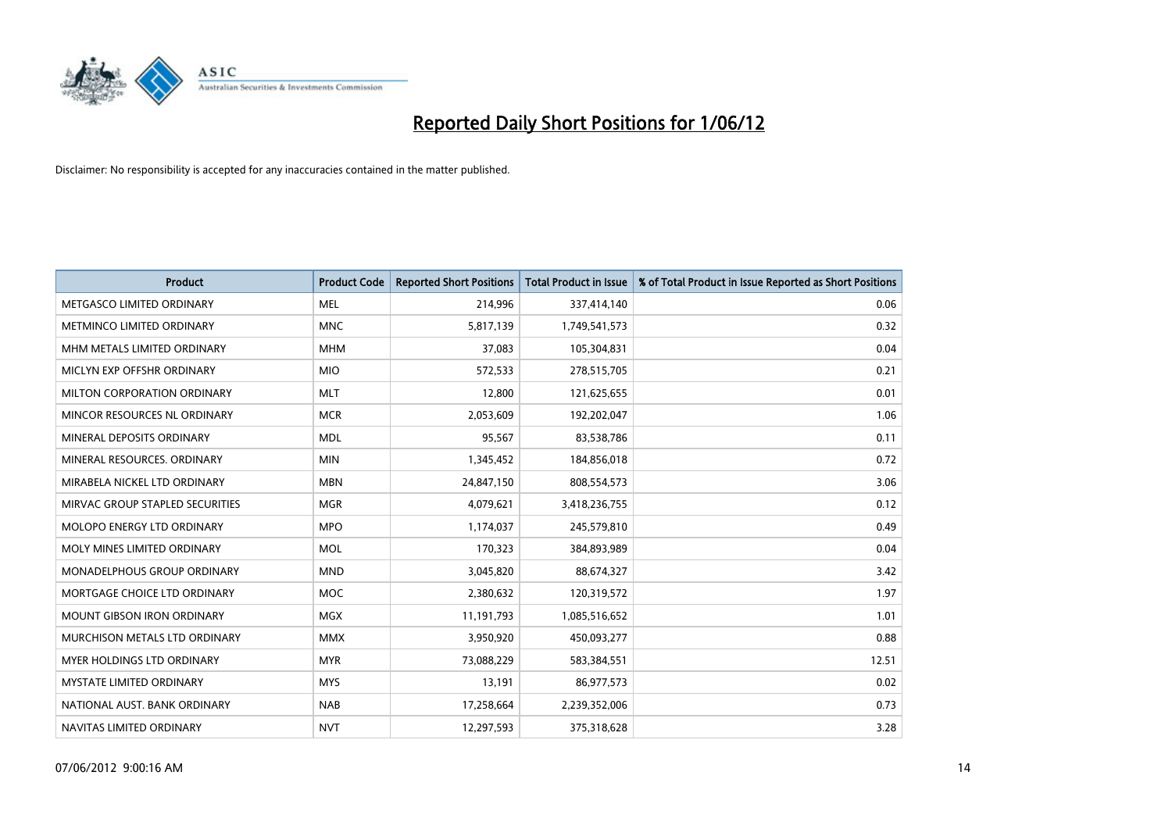

| <b>Product</b>                    | <b>Product Code</b> | <b>Reported Short Positions</b> | <b>Total Product in Issue</b> | % of Total Product in Issue Reported as Short Positions |
|-----------------------------------|---------------------|---------------------------------|-------------------------------|---------------------------------------------------------|
| METGASCO LIMITED ORDINARY         | <b>MEL</b>          | 214,996                         | 337,414,140                   | 0.06                                                    |
| METMINCO LIMITED ORDINARY         | <b>MNC</b>          | 5,817,139                       | 1,749,541,573                 | 0.32                                                    |
| MHM METALS LIMITED ORDINARY       | <b>MHM</b>          | 37,083                          | 105,304,831                   | 0.04                                                    |
| MICLYN EXP OFFSHR ORDINARY        | <b>MIO</b>          | 572,533                         | 278,515,705                   | 0.21                                                    |
| MILTON CORPORATION ORDINARY       | <b>MLT</b>          | 12,800                          | 121,625,655                   | 0.01                                                    |
| MINCOR RESOURCES NL ORDINARY      | <b>MCR</b>          | 2,053,609                       | 192,202,047                   | 1.06                                                    |
| MINERAL DEPOSITS ORDINARY         | <b>MDL</b>          | 95,567                          | 83,538,786                    | 0.11                                                    |
| MINERAL RESOURCES. ORDINARY       | <b>MIN</b>          | 1,345,452                       | 184,856,018                   | 0.72                                                    |
| MIRABELA NICKEL LTD ORDINARY      | <b>MBN</b>          | 24,847,150                      | 808,554,573                   | 3.06                                                    |
| MIRVAC GROUP STAPLED SECURITIES   | <b>MGR</b>          | 4,079,621                       | 3,418,236,755                 | 0.12                                                    |
| MOLOPO ENERGY LTD ORDINARY        | <b>MPO</b>          | 1,174,037                       | 245,579,810                   | 0.49                                                    |
| MOLY MINES LIMITED ORDINARY       | <b>MOL</b>          | 170,323                         | 384,893,989                   | 0.04                                                    |
| MONADELPHOUS GROUP ORDINARY       | <b>MND</b>          | 3,045,820                       | 88,674,327                    | 3.42                                                    |
| MORTGAGE CHOICE LTD ORDINARY      | <b>MOC</b>          | 2,380,632                       | 120,319,572                   | 1.97                                                    |
| <b>MOUNT GIBSON IRON ORDINARY</b> | <b>MGX</b>          | 11,191,793                      | 1,085,516,652                 | 1.01                                                    |
| MURCHISON METALS LTD ORDINARY     | <b>MMX</b>          | 3,950,920                       | 450,093,277                   | 0.88                                                    |
| MYER HOLDINGS LTD ORDINARY        | <b>MYR</b>          | 73,088,229                      | 583,384,551                   | 12.51                                                   |
| <b>MYSTATE LIMITED ORDINARY</b>   | <b>MYS</b>          | 13,191                          | 86,977,573                    | 0.02                                                    |
| NATIONAL AUST, BANK ORDINARY      | <b>NAB</b>          | 17,258,664                      | 2,239,352,006                 | 0.73                                                    |
| NAVITAS LIMITED ORDINARY          | <b>NVT</b>          | 12,297,593                      | 375,318,628                   | 3.28                                                    |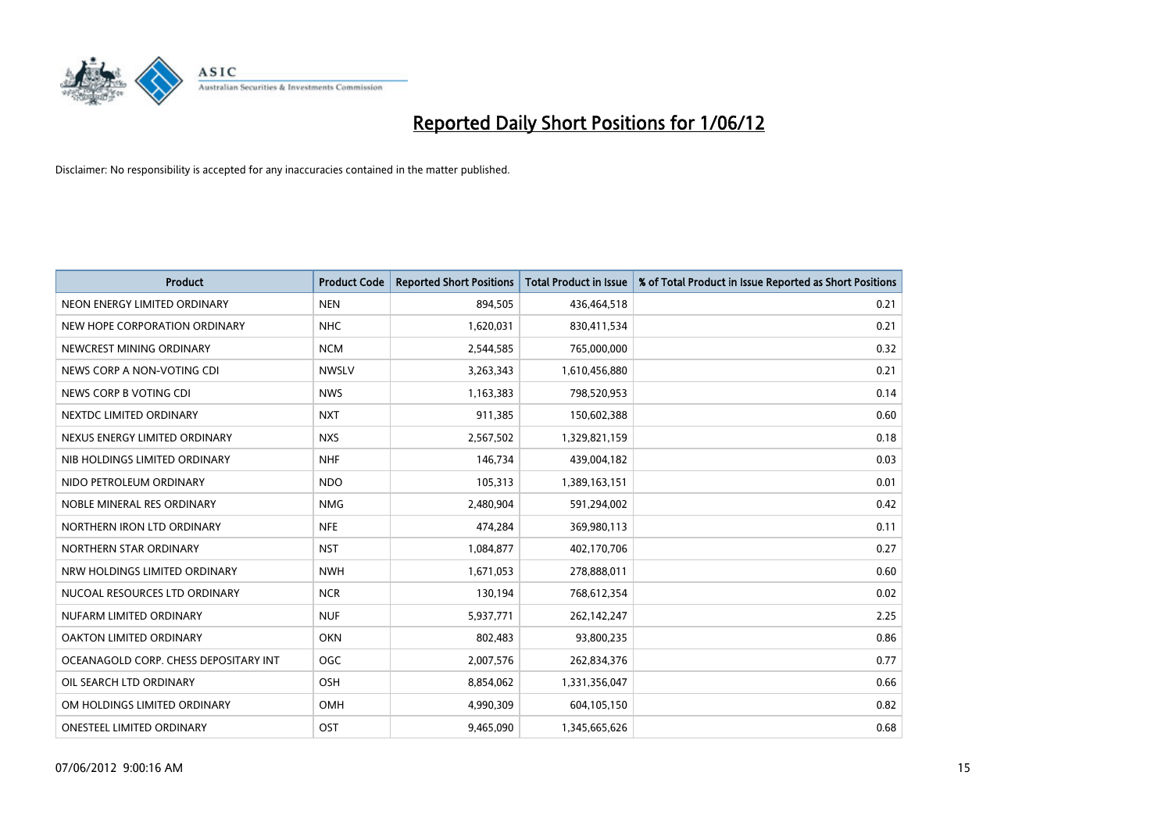

| <b>Product</b>                        | <b>Product Code</b> | <b>Reported Short Positions</b> | <b>Total Product in Issue</b> | % of Total Product in Issue Reported as Short Positions |
|---------------------------------------|---------------------|---------------------------------|-------------------------------|---------------------------------------------------------|
| NEON ENERGY LIMITED ORDINARY          | <b>NEN</b>          | 894,505                         | 436,464,518                   | 0.21                                                    |
| NEW HOPE CORPORATION ORDINARY         | <b>NHC</b>          | 1,620,031                       | 830,411,534                   | 0.21                                                    |
| NEWCREST MINING ORDINARY              | <b>NCM</b>          | 2,544,585                       | 765,000,000                   | 0.32                                                    |
| NEWS CORP A NON-VOTING CDI            | <b>NWSLV</b>        | 3,263,343                       | 1,610,456,880                 | 0.21                                                    |
| NEWS CORP B VOTING CDI                | <b>NWS</b>          | 1,163,383                       | 798,520,953                   | 0.14                                                    |
| NEXTDC LIMITED ORDINARY               | <b>NXT</b>          | 911,385                         | 150,602,388                   | 0.60                                                    |
| NEXUS ENERGY LIMITED ORDINARY         | <b>NXS</b>          | 2,567,502                       | 1,329,821,159                 | 0.18                                                    |
| NIB HOLDINGS LIMITED ORDINARY         | <b>NHF</b>          | 146,734                         | 439,004,182                   | 0.03                                                    |
| NIDO PETROLEUM ORDINARY               | <b>NDO</b>          | 105,313                         | 1,389,163,151                 | 0.01                                                    |
| NOBLE MINERAL RES ORDINARY            | <b>NMG</b>          | 2,480,904                       | 591,294,002                   | 0.42                                                    |
| NORTHERN IRON LTD ORDINARY            | <b>NFE</b>          | 474,284                         | 369,980,113                   | 0.11                                                    |
| NORTHERN STAR ORDINARY                | <b>NST</b>          | 1,084,877                       | 402,170,706                   | 0.27                                                    |
| NRW HOLDINGS LIMITED ORDINARY         | <b>NWH</b>          | 1,671,053                       | 278,888,011                   | 0.60                                                    |
| NUCOAL RESOURCES LTD ORDINARY         | <b>NCR</b>          | 130,194                         | 768,612,354                   | 0.02                                                    |
| NUFARM LIMITED ORDINARY               | <b>NUF</b>          | 5,937,771                       | 262,142,247                   | 2.25                                                    |
| OAKTON LIMITED ORDINARY               | <b>OKN</b>          | 802,483                         | 93,800,235                    | 0.86                                                    |
| OCEANAGOLD CORP. CHESS DEPOSITARY INT | <b>OGC</b>          | 2,007,576                       | 262,834,376                   | 0.77                                                    |
| OIL SEARCH LTD ORDINARY               | <b>OSH</b>          | 8,854,062                       | 1,331,356,047                 | 0.66                                                    |
| OM HOLDINGS LIMITED ORDINARY          | OMH                 | 4,990,309                       | 604,105,150                   | 0.82                                                    |
| <b>ONESTEEL LIMITED ORDINARY</b>      | OST                 | 9,465,090                       | 1,345,665,626                 | 0.68                                                    |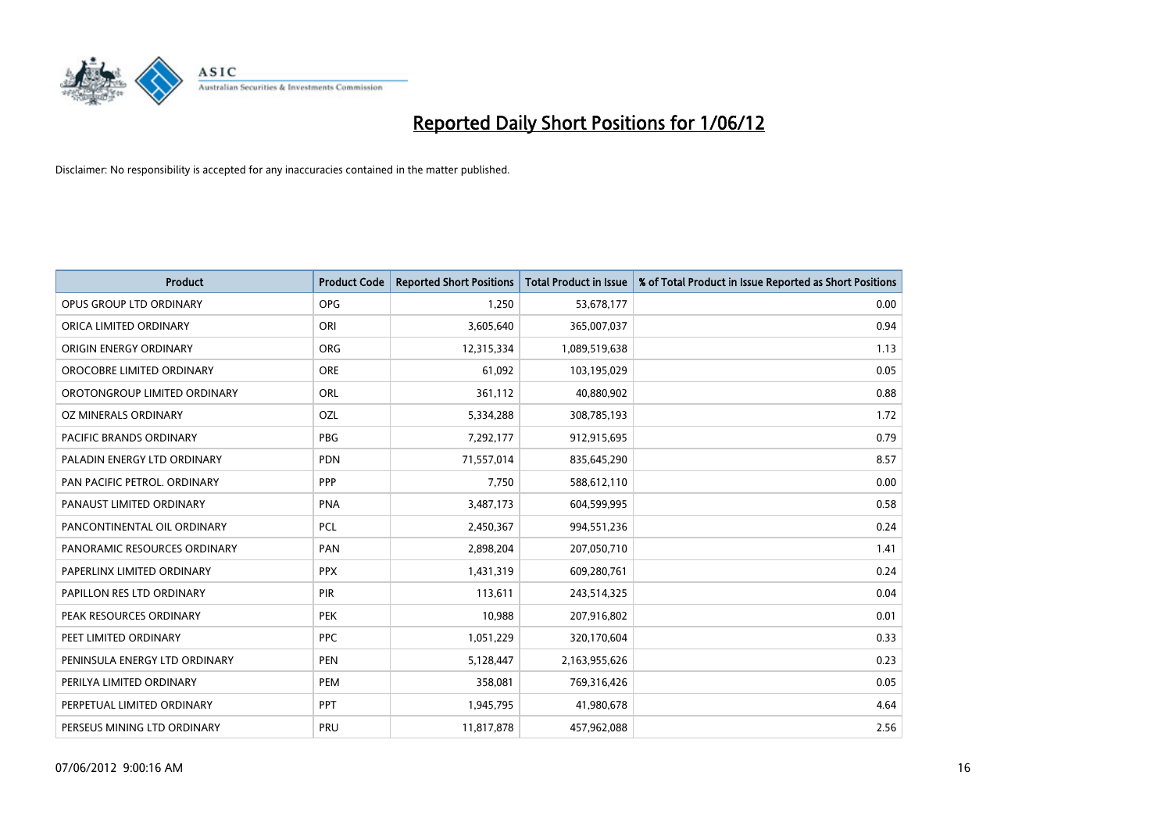

| <b>Product</b>                | <b>Product Code</b> | <b>Reported Short Positions</b> | <b>Total Product in Issue</b> | % of Total Product in Issue Reported as Short Positions |
|-------------------------------|---------------------|---------------------------------|-------------------------------|---------------------------------------------------------|
| OPUS GROUP LTD ORDINARY       | <b>OPG</b>          | 1,250                           | 53,678,177                    | 0.00                                                    |
| ORICA LIMITED ORDINARY        | ORI                 | 3,605,640                       | 365,007,037                   | 0.94                                                    |
| ORIGIN ENERGY ORDINARY        | <b>ORG</b>          | 12,315,334                      | 1,089,519,638                 | 1.13                                                    |
| OROCOBRE LIMITED ORDINARY     | <b>ORE</b>          | 61,092                          | 103,195,029                   | 0.05                                                    |
| OROTONGROUP LIMITED ORDINARY  | ORL                 | 361,112                         | 40,880,902                    | 0.88                                                    |
| OZ MINERALS ORDINARY          | OZL                 | 5,334,288                       | 308,785,193                   | 1.72                                                    |
| PACIFIC BRANDS ORDINARY       | <b>PBG</b>          | 7,292,177                       | 912,915,695                   | 0.79                                                    |
| PALADIN ENERGY LTD ORDINARY   | <b>PDN</b>          | 71,557,014                      | 835,645,290                   | 8.57                                                    |
| PAN PACIFIC PETROL. ORDINARY  | PPP                 | 7,750                           | 588,612,110                   | 0.00                                                    |
| PANAUST LIMITED ORDINARY      | <b>PNA</b>          | 3,487,173                       | 604,599,995                   | 0.58                                                    |
| PANCONTINENTAL OIL ORDINARY   | <b>PCL</b>          | 2,450,367                       | 994,551,236                   | 0.24                                                    |
| PANORAMIC RESOURCES ORDINARY  | PAN                 | 2,898,204                       | 207,050,710                   | 1.41                                                    |
| PAPERLINX LIMITED ORDINARY    | <b>PPX</b>          | 1,431,319                       | 609,280,761                   | 0.24                                                    |
| PAPILLON RES LTD ORDINARY     | PIR                 | 113,611                         | 243,514,325                   | 0.04                                                    |
| PEAK RESOURCES ORDINARY       | <b>PEK</b>          | 10,988                          | 207,916,802                   | 0.01                                                    |
| PEET LIMITED ORDINARY         | <b>PPC</b>          | 1,051,229                       | 320,170,604                   | 0.33                                                    |
| PENINSULA ENERGY LTD ORDINARY | PEN                 | 5,128,447                       | 2,163,955,626                 | 0.23                                                    |
| PERILYA LIMITED ORDINARY      | <b>PEM</b>          | 358,081                         | 769,316,426                   | 0.05                                                    |
| PERPETUAL LIMITED ORDINARY    | PPT                 | 1,945,795                       | 41,980,678                    | 4.64                                                    |
| PERSEUS MINING LTD ORDINARY   | PRU                 | 11,817,878                      | 457,962,088                   | 2.56                                                    |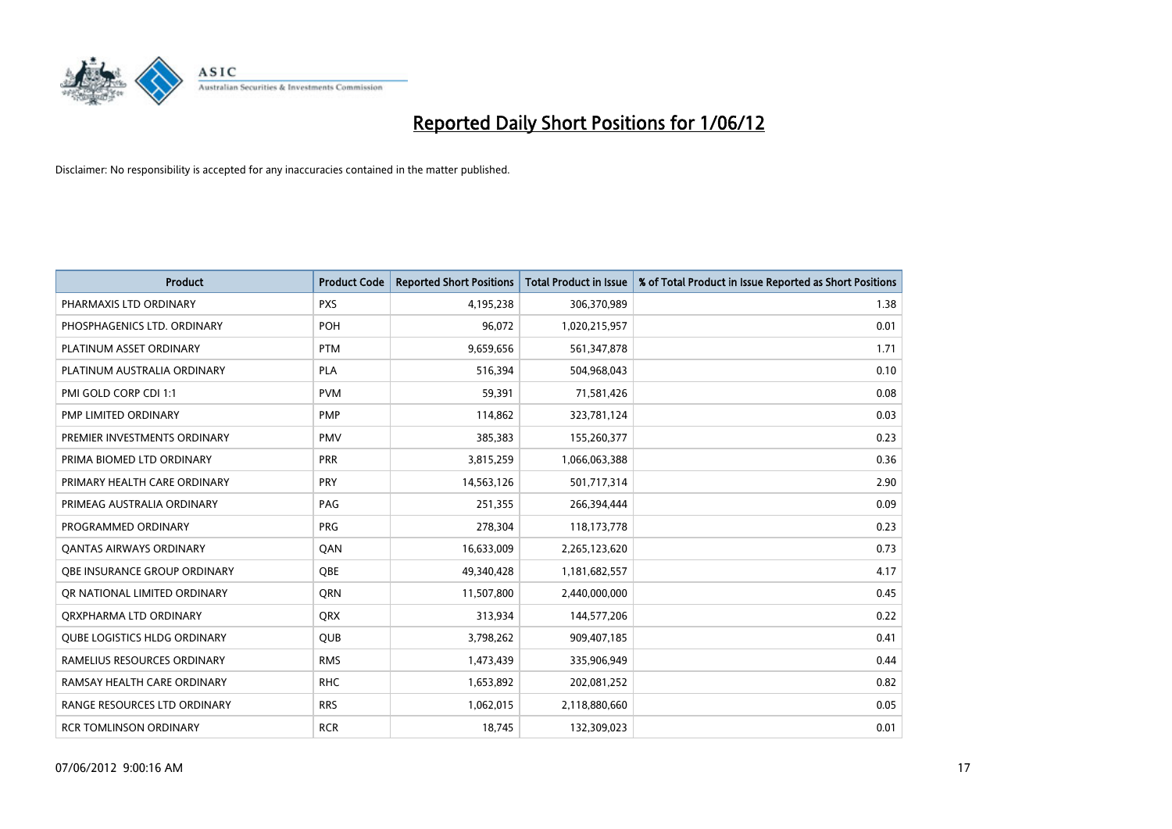

| <b>Product</b>                      | <b>Product Code</b> | <b>Reported Short Positions</b> | <b>Total Product in Issue</b> | % of Total Product in Issue Reported as Short Positions |
|-------------------------------------|---------------------|---------------------------------|-------------------------------|---------------------------------------------------------|
| PHARMAXIS LTD ORDINARY              | <b>PXS</b>          | 4,195,238                       | 306,370,989                   | 1.38                                                    |
| PHOSPHAGENICS LTD. ORDINARY         | POH                 | 96,072                          | 1,020,215,957                 | 0.01                                                    |
| PLATINUM ASSET ORDINARY             | <b>PTM</b>          | 9,659,656                       | 561,347,878                   | 1.71                                                    |
| PLATINUM AUSTRALIA ORDINARY         | <b>PLA</b>          | 516,394                         | 504,968,043                   | 0.10                                                    |
| PMI GOLD CORP CDI 1:1               | <b>PVM</b>          | 59,391                          | 71,581,426                    | 0.08                                                    |
| PMP LIMITED ORDINARY                | PMP                 | 114,862                         | 323,781,124                   | 0.03                                                    |
| PREMIER INVESTMENTS ORDINARY        | <b>PMV</b>          | 385,383                         | 155,260,377                   | 0.23                                                    |
| PRIMA BIOMED LTD ORDINARY           | <b>PRR</b>          | 3,815,259                       | 1,066,063,388                 | 0.36                                                    |
| PRIMARY HEALTH CARE ORDINARY        | <b>PRY</b>          | 14,563,126                      | 501,717,314                   | 2.90                                                    |
| PRIMEAG AUSTRALIA ORDINARY          | PAG                 | 251,355                         | 266,394,444                   | 0.09                                                    |
| PROGRAMMED ORDINARY                 | <b>PRG</b>          | 278,304                         | 118,173,778                   | 0.23                                                    |
| <b>QANTAS AIRWAYS ORDINARY</b>      | QAN                 | 16,633,009                      | 2,265,123,620                 | 0.73                                                    |
| OBE INSURANCE GROUP ORDINARY        | <b>OBE</b>          | 49,340,428                      | 1,181,682,557                 | 4.17                                                    |
| OR NATIONAL LIMITED ORDINARY        | <b>ORN</b>          | 11,507,800                      | 2,440,000,000                 | 0.45                                                    |
| ORXPHARMA LTD ORDINARY              | <b>QRX</b>          | 313,934                         | 144,577,206                   | 0.22                                                    |
| <b>QUBE LOGISTICS HLDG ORDINARY</b> | <b>QUB</b>          | 3,798,262                       | 909,407,185                   | 0.41                                                    |
| RAMELIUS RESOURCES ORDINARY         | <b>RMS</b>          | 1,473,439                       | 335,906,949                   | 0.44                                                    |
| RAMSAY HEALTH CARE ORDINARY         | <b>RHC</b>          | 1,653,892                       | 202,081,252                   | 0.82                                                    |
| RANGE RESOURCES LTD ORDINARY        | <b>RRS</b>          | 1,062,015                       | 2,118,880,660                 | 0.05                                                    |
| <b>RCR TOMLINSON ORDINARY</b>       | <b>RCR</b>          | 18,745                          | 132,309,023                   | 0.01                                                    |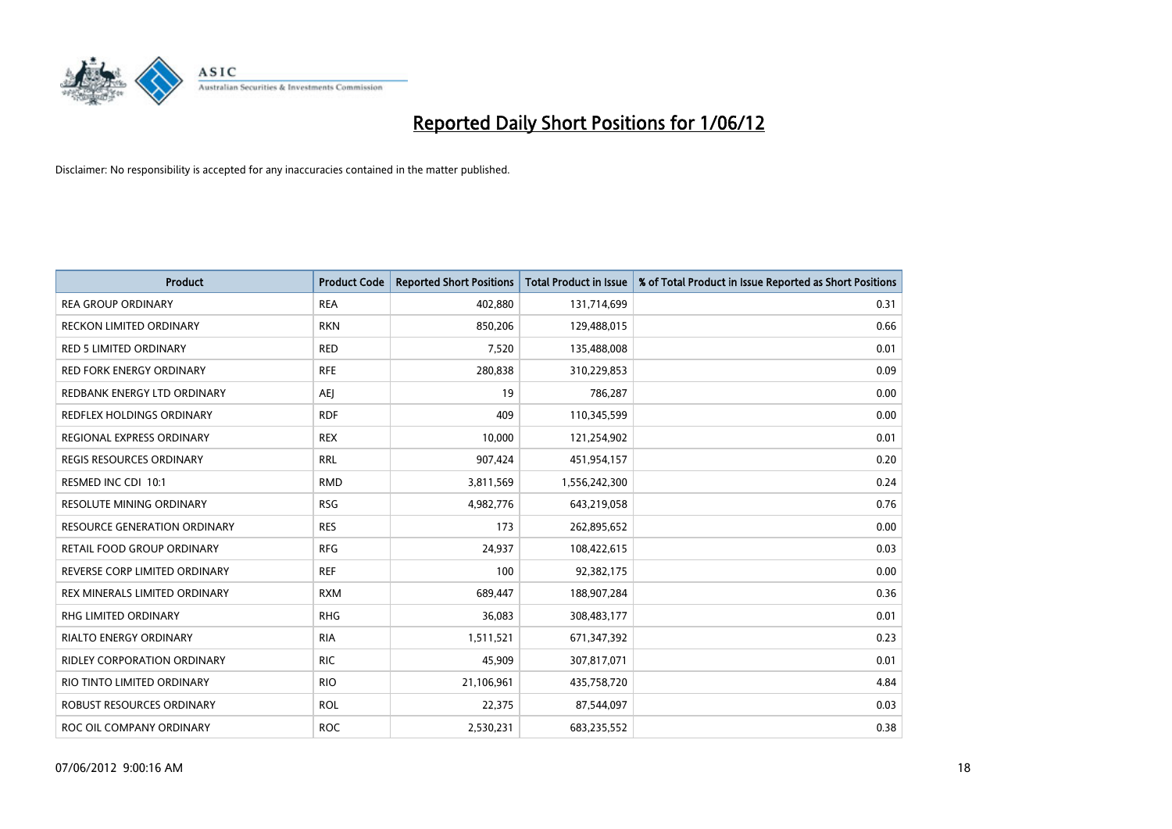

| <b>Product</b>                   | <b>Product Code</b> | <b>Reported Short Positions</b> | <b>Total Product in Issue</b> | % of Total Product in Issue Reported as Short Positions |
|----------------------------------|---------------------|---------------------------------|-------------------------------|---------------------------------------------------------|
| <b>REA GROUP ORDINARY</b>        | <b>REA</b>          | 402,880                         | 131,714,699                   | 0.31                                                    |
| RECKON LIMITED ORDINARY          | <b>RKN</b>          | 850,206                         | 129,488,015                   | 0.66                                                    |
| <b>RED 5 LIMITED ORDINARY</b>    | <b>RED</b>          | 7,520                           | 135,488,008                   | 0.01                                                    |
| <b>RED FORK ENERGY ORDINARY</b>  | <b>RFE</b>          | 280,838                         | 310,229,853                   | 0.09                                                    |
| REDBANK ENERGY LTD ORDINARY      | <b>AEI</b>          | 19                              | 786,287                       | 0.00                                                    |
| <b>REDFLEX HOLDINGS ORDINARY</b> | <b>RDF</b>          | 409                             | 110,345,599                   | 0.00                                                    |
| REGIONAL EXPRESS ORDINARY        | <b>REX</b>          | 10,000                          | 121,254,902                   | 0.01                                                    |
| REGIS RESOURCES ORDINARY         | <b>RRL</b>          | 907,424                         | 451,954,157                   | 0.20                                                    |
| RESMED INC CDI 10:1              | <b>RMD</b>          | 3,811,569                       | 1,556,242,300                 | 0.24                                                    |
| <b>RESOLUTE MINING ORDINARY</b>  | <b>RSG</b>          | 4,982,776                       | 643,219,058                   | 0.76                                                    |
| RESOURCE GENERATION ORDINARY     | <b>RES</b>          | 173                             | 262,895,652                   | 0.00                                                    |
| RETAIL FOOD GROUP ORDINARY       | <b>RFG</b>          | 24,937                          | 108,422,615                   | 0.03                                                    |
| REVERSE CORP LIMITED ORDINARY    | <b>REF</b>          | 100                             | 92,382,175                    | 0.00                                                    |
| REX MINERALS LIMITED ORDINARY    | <b>RXM</b>          | 689,447                         | 188,907,284                   | 0.36                                                    |
| <b>RHG LIMITED ORDINARY</b>      | <b>RHG</b>          | 36,083                          | 308,483,177                   | 0.01                                                    |
| RIALTO ENERGY ORDINARY           | <b>RIA</b>          | 1,511,521                       | 671,347,392                   | 0.23                                                    |
| RIDLEY CORPORATION ORDINARY      | <b>RIC</b>          | 45,909                          | 307,817,071                   | 0.01                                                    |
| RIO TINTO LIMITED ORDINARY       | <b>RIO</b>          | 21,106,961                      | 435,758,720                   | 4.84                                                    |
| ROBUST RESOURCES ORDINARY        | <b>ROL</b>          | 22,375                          | 87,544,097                    | 0.03                                                    |
| ROC OIL COMPANY ORDINARY         | <b>ROC</b>          | 2,530,231                       | 683,235,552                   | 0.38                                                    |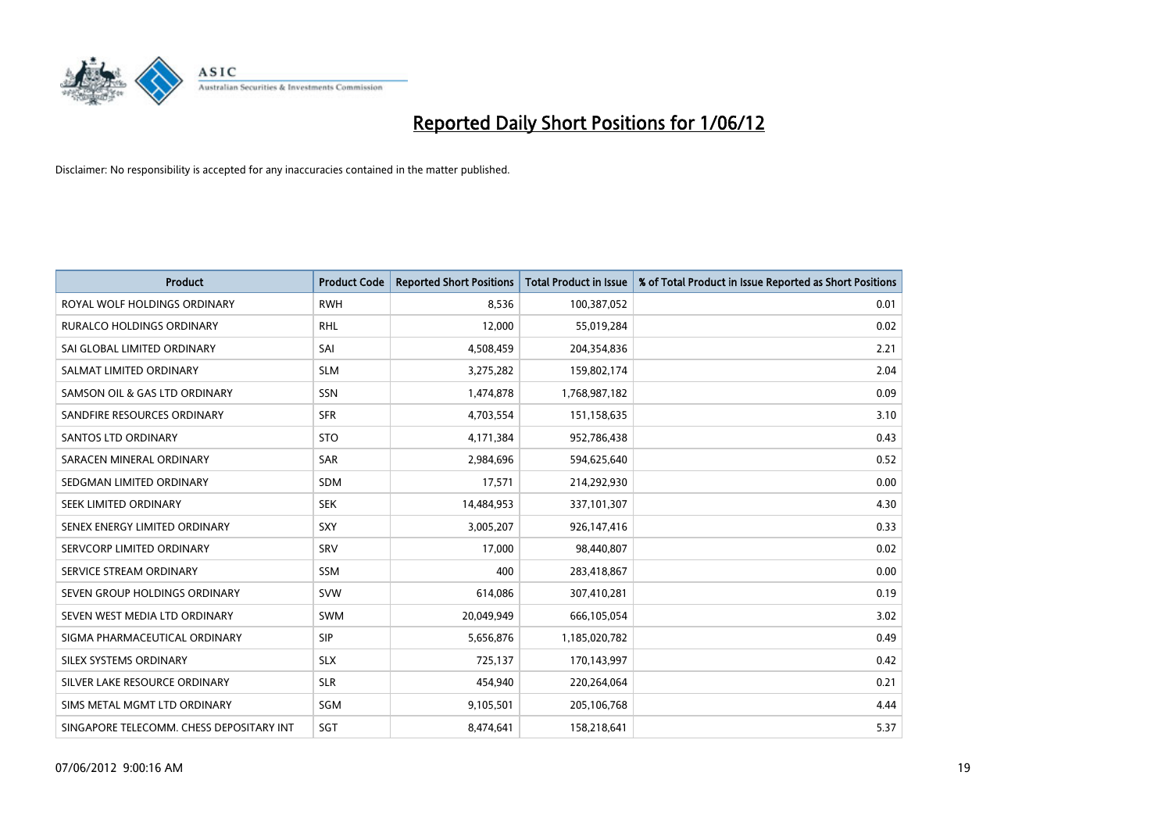

| <b>Product</b>                           | <b>Product Code</b> | <b>Reported Short Positions</b> | <b>Total Product in Issue</b> | % of Total Product in Issue Reported as Short Positions |
|------------------------------------------|---------------------|---------------------------------|-------------------------------|---------------------------------------------------------|
| ROYAL WOLF HOLDINGS ORDINARY             | <b>RWH</b>          | 8,536                           | 100,387,052                   | 0.01                                                    |
| <b>RURALCO HOLDINGS ORDINARY</b>         | <b>RHL</b>          | 12,000                          | 55,019,284                    | 0.02                                                    |
| SAI GLOBAL LIMITED ORDINARY              | SAI                 | 4,508,459                       | 204,354,836                   | 2.21                                                    |
| SALMAT LIMITED ORDINARY                  | <b>SLM</b>          | 3,275,282                       | 159,802,174                   | 2.04                                                    |
| SAMSON OIL & GAS LTD ORDINARY            | SSN                 | 1,474,878                       | 1,768,987,182                 | 0.09                                                    |
| SANDFIRE RESOURCES ORDINARY              | <b>SFR</b>          | 4,703,554                       | 151,158,635                   | 3.10                                                    |
| SANTOS LTD ORDINARY                      | <b>STO</b>          | 4,171,384                       | 952,786,438                   | 0.43                                                    |
| SARACEN MINERAL ORDINARY                 | <b>SAR</b>          | 2,984,696                       | 594,625,640                   | 0.52                                                    |
| SEDGMAN LIMITED ORDINARY                 | <b>SDM</b>          | 17,571                          | 214,292,930                   | 0.00                                                    |
| SEEK LIMITED ORDINARY                    | <b>SEK</b>          | 14,484,953                      | 337,101,307                   | 4.30                                                    |
| SENEX ENERGY LIMITED ORDINARY            | <b>SXY</b>          | 3,005,207                       | 926,147,416                   | 0.33                                                    |
| SERVCORP LIMITED ORDINARY                | SRV                 | 17,000                          | 98,440,807                    | 0.02                                                    |
| SERVICE STREAM ORDINARY                  | <b>SSM</b>          | 400                             | 283,418,867                   | 0.00                                                    |
| SEVEN GROUP HOLDINGS ORDINARY            | <b>SVW</b>          | 614,086                         | 307,410,281                   | 0.19                                                    |
| SEVEN WEST MEDIA LTD ORDINARY            | <b>SWM</b>          | 20,049,949                      | 666,105,054                   | 3.02                                                    |
| SIGMA PHARMACEUTICAL ORDINARY            | <b>SIP</b>          | 5,656,876                       | 1,185,020,782                 | 0.49                                                    |
| SILEX SYSTEMS ORDINARY                   | <b>SLX</b>          | 725,137                         | 170,143,997                   | 0.42                                                    |
| SILVER LAKE RESOURCE ORDINARY            | <b>SLR</b>          | 454,940                         | 220,264,064                   | 0.21                                                    |
| SIMS METAL MGMT LTD ORDINARY             | SGM                 | 9,105,501                       | 205,106,768                   | 4.44                                                    |
| SINGAPORE TELECOMM. CHESS DEPOSITARY INT | SGT                 | 8,474,641                       | 158,218,641                   | 5.37                                                    |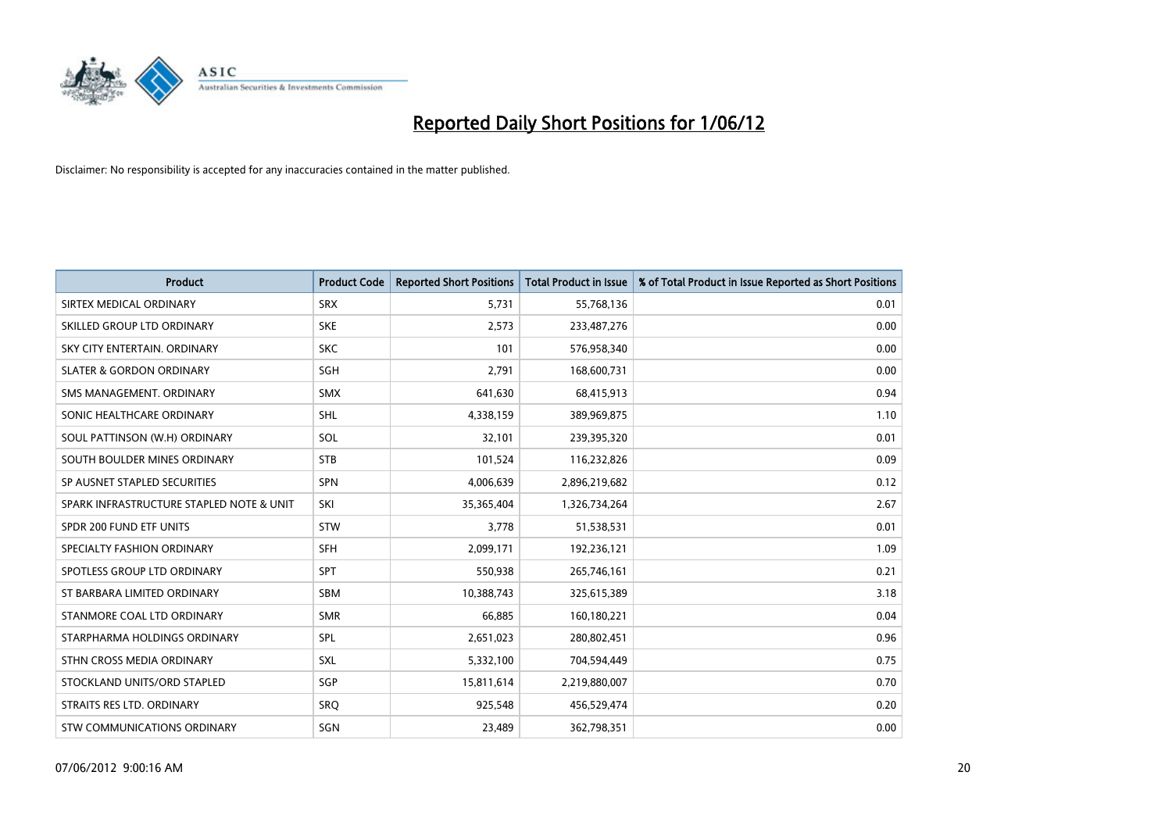

| <b>Product</b>                           | <b>Product Code</b> | <b>Reported Short Positions</b> | <b>Total Product in Issue</b> | % of Total Product in Issue Reported as Short Positions |
|------------------------------------------|---------------------|---------------------------------|-------------------------------|---------------------------------------------------------|
| SIRTEX MEDICAL ORDINARY                  | <b>SRX</b>          | 5,731                           | 55,768,136                    | 0.01                                                    |
| SKILLED GROUP LTD ORDINARY               | <b>SKE</b>          | 2,573                           | 233,487,276                   | 0.00                                                    |
| SKY CITY ENTERTAIN, ORDINARY             | <b>SKC</b>          | 101                             | 576,958,340                   | 0.00                                                    |
| <b>SLATER &amp; GORDON ORDINARY</b>      | SGH                 | 2,791                           | 168,600,731                   | 0.00                                                    |
| SMS MANAGEMENT, ORDINARY                 | SMX                 | 641,630                         | 68,415,913                    | 0.94                                                    |
| SONIC HEALTHCARE ORDINARY                | <b>SHL</b>          | 4,338,159                       | 389,969,875                   | 1.10                                                    |
| SOUL PATTINSON (W.H) ORDINARY            | SOL                 | 32,101                          | 239,395,320                   | 0.01                                                    |
| SOUTH BOULDER MINES ORDINARY             | <b>STB</b>          | 101,524                         | 116,232,826                   | 0.09                                                    |
| SP AUSNET STAPLED SECURITIES             | SPN                 | 4,006,639                       | 2,896,219,682                 | 0.12                                                    |
| SPARK INFRASTRUCTURE STAPLED NOTE & UNIT | SKI                 | 35,365,404                      | 1,326,734,264                 | 2.67                                                    |
| SPDR 200 FUND ETF UNITS                  | <b>STW</b>          | 3,778                           | 51,538,531                    | 0.01                                                    |
| SPECIALTY FASHION ORDINARY               | <b>SFH</b>          | 2,099,171                       | 192,236,121                   | 1.09                                                    |
| SPOTLESS GROUP LTD ORDINARY              | <b>SPT</b>          | 550,938                         | 265,746,161                   | 0.21                                                    |
| ST BARBARA LIMITED ORDINARY              | SBM                 | 10,388,743                      | 325,615,389                   | 3.18                                                    |
| STANMORE COAL LTD ORDINARY               | <b>SMR</b>          | 66,885                          | 160,180,221                   | 0.04                                                    |
| STARPHARMA HOLDINGS ORDINARY             | SPL                 | 2,651,023                       | 280,802,451                   | 0.96                                                    |
| STHN CROSS MEDIA ORDINARY                | SXL                 | 5,332,100                       | 704,594,449                   | 0.75                                                    |
| STOCKLAND UNITS/ORD STAPLED              | SGP                 | 15,811,614                      | 2,219,880,007                 | 0.70                                                    |
| STRAITS RES LTD. ORDINARY                | <b>SRO</b>          | 925,548                         | 456,529,474                   | 0.20                                                    |
| STW COMMUNICATIONS ORDINARY              | SGN                 | 23,489                          | 362,798,351                   | 0.00                                                    |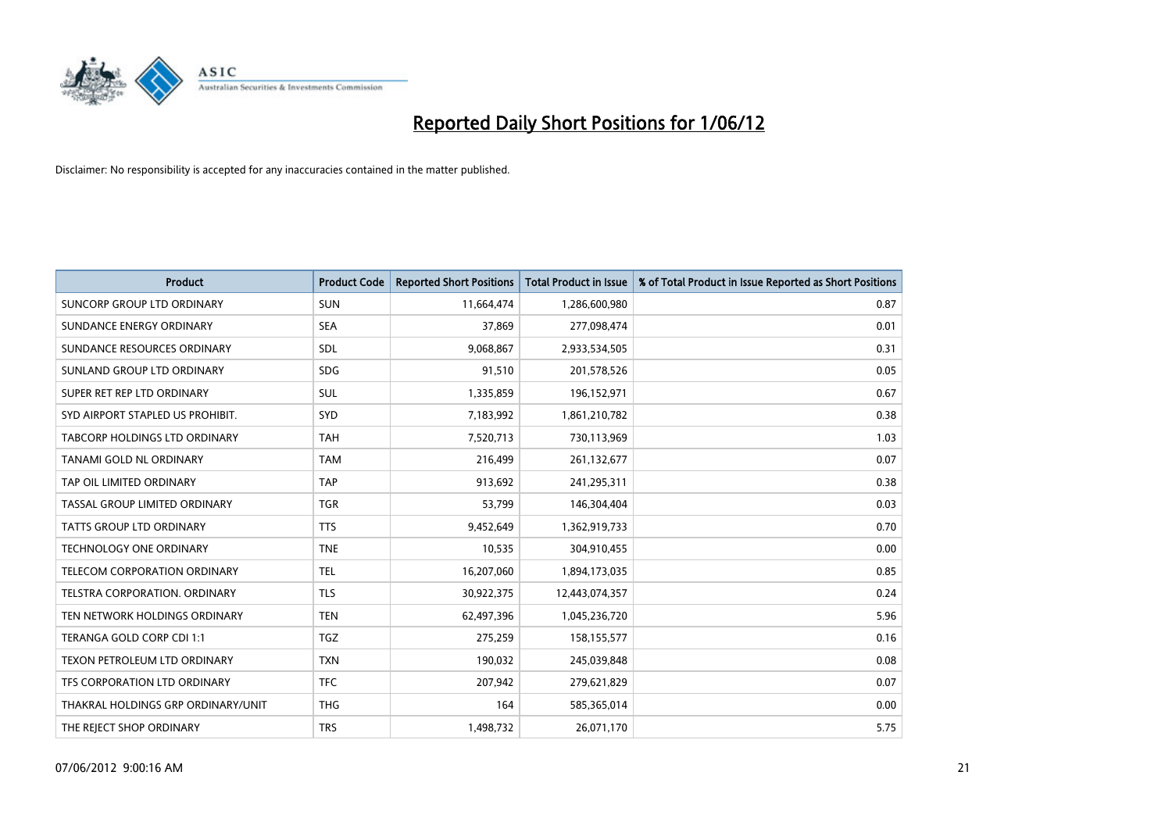

| <b>Product</b>                     | <b>Product Code</b> | <b>Reported Short Positions</b> | <b>Total Product in Issue</b> | % of Total Product in Issue Reported as Short Positions |
|------------------------------------|---------------------|---------------------------------|-------------------------------|---------------------------------------------------------|
| <b>SUNCORP GROUP LTD ORDINARY</b>  | <b>SUN</b>          | 11,664,474                      | 1,286,600,980                 | 0.87                                                    |
| SUNDANCE ENERGY ORDINARY           | <b>SEA</b>          | 37,869                          | 277,098,474                   | 0.01                                                    |
| SUNDANCE RESOURCES ORDINARY        | SDL                 | 9,068,867                       | 2,933,534,505                 | 0.31                                                    |
| SUNLAND GROUP LTD ORDINARY         | <b>SDG</b>          | 91,510                          | 201,578,526                   | 0.05                                                    |
| SUPER RET REP LTD ORDINARY         | SUL                 | 1,335,859                       | 196,152,971                   | 0.67                                                    |
| SYD AIRPORT STAPLED US PROHIBIT.   | <b>SYD</b>          | 7,183,992                       | 1,861,210,782                 | 0.38                                                    |
| TABCORP HOLDINGS LTD ORDINARY      | <b>TAH</b>          | 7,520,713                       | 730,113,969                   | 1.03                                                    |
| TANAMI GOLD NL ORDINARY            | <b>TAM</b>          | 216,499                         | 261,132,677                   | 0.07                                                    |
| TAP OIL LIMITED ORDINARY           | <b>TAP</b>          | 913,692                         | 241,295,311                   | 0.38                                                    |
| TASSAL GROUP LIMITED ORDINARY      | <b>TGR</b>          | 53,799                          | 146,304,404                   | 0.03                                                    |
| TATTS GROUP LTD ORDINARY           | <b>TTS</b>          | 9,452,649                       | 1,362,919,733                 | 0.70                                                    |
| TECHNOLOGY ONE ORDINARY            | <b>TNE</b>          | 10,535                          | 304,910,455                   | 0.00                                                    |
| TELECOM CORPORATION ORDINARY       | <b>TEL</b>          | 16,207,060                      | 1,894,173,035                 | 0.85                                                    |
| TELSTRA CORPORATION, ORDINARY      | <b>TLS</b>          | 30,922,375                      | 12,443,074,357                | 0.24                                                    |
| TEN NETWORK HOLDINGS ORDINARY      | <b>TEN</b>          | 62,497,396                      | 1,045,236,720                 | 5.96                                                    |
| TERANGA GOLD CORP CDI 1:1          | <b>TGZ</b>          | 275,259                         | 158,155,577                   | 0.16                                                    |
| TEXON PETROLEUM LTD ORDINARY       | <b>TXN</b>          | 190,032                         | 245,039,848                   | 0.08                                                    |
| TFS CORPORATION LTD ORDINARY       | <b>TFC</b>          | 207,942                         | 279,621,829                   | 0.07                                                    |
| THAKRAL HOLDINGS GRP ORDINARY/UNIT | <b>THG</b>          | 164                             | 585,365,014                   | 0.00                                                    |
| THE REJECT SHOP ORDINARY           | <b>TRS</b>          | 1,498,732                       | 26,071,170                    | 5.75                                                    |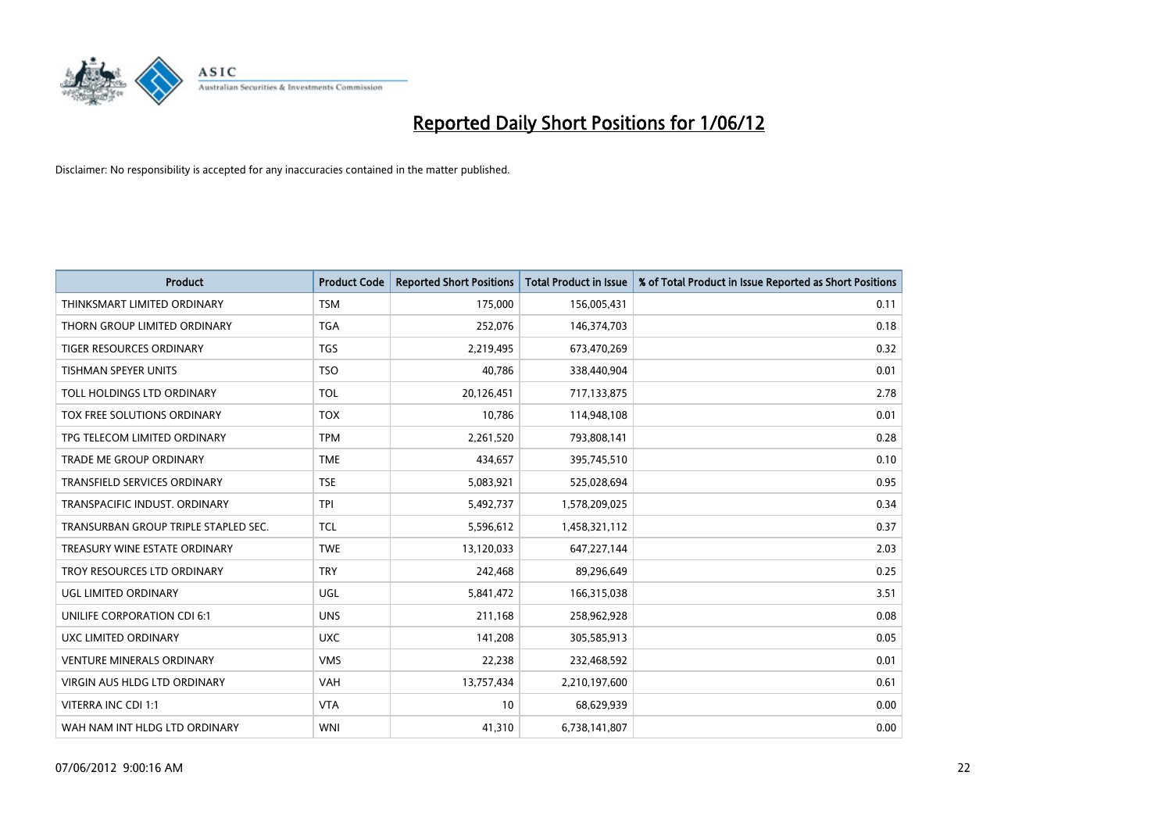

| <b>Product</b>                       | <b>Product Code</b> | <b>Reported Short Positions</b> | <b>Total Product in Issue</b> | % of Total Product in Issue Reported as Short Positions |
|--------------------------------------|---------------------|---------------------------------|-------------------------------|---------------------------------------------------------|
| THINKSMART LIMITED ORDINARY          | <b>TSM</b>          | 175,000                         | 156,005,431                   | 0.11                                                    |
| THORN GROUP LIMITED ORDINARY         | TGA                 | 252,076                         | 146,374,703                   | 0.18                                                    |
| <b>TIGER RESOURCES ORDINARY</b>      | <b>TGS</b>          | 2,219,495                       | 673,470,269                   | 0.32                                                    |
| TISHMAN SPEYER UNITS                 | <b>TSO</b>          | 40,786                          | 338,440,904                   | 0.01                                                    |
| TOLL HOLDINGS LTD ORDINARY           | <b>TOL</b>          | 20,126,451                      | 717,133,875                   | 2.78                                                    |
| TOX FREE SOLUTIONS ORDINARY          | <b>TOX</b>          | 10,786                          | 114,948,108                   | 0.01                                                    |
| TPG TELECOM LIMITED ORDINARY         | <b>TPM</b>          | 2,261,520                       | 793,808,141                   | 0.28                                                    |
| TRADE ME GROUP ORDINARY              | <b>TME</b>          | 434,657                         | 395,745,510                   | 0.10                                                    |
| <b>TRANSFIELD SERVICES ORDINARY</b>  | <b>TSE</b>          | 5,083,921                       | 525,028,694                   | 0.95                                                    |
| TRANSPACIFIC INDUST, ORDINARY        | <b>TPI</b>          | 5,492,737                       | 1,578,209,025                 | 0.34                                                    |
| TRANSURBAN GROUP TRIPLE STAPLED SEC. | <b>TCL</b>          | 5,596,612                       | 1,458,321,112                 | 0.37                                                    |
| TREASURY WINE ESTATE ORDINARY        | <b>TWE</b>          | 13,120,033                      | 647,227,144                   | 2.03                                                    |
| TROY RESOURCES LTD ORDINARY          | <b>TRY</b>          | 242,468                         | 89,296,649                    | 0.25                                                    |
| UGL LIMITED ORDINARY                 | UGL                 | 5,841,472                       | 166,315,038                   | 3.51                                                    |
| UNILIFE CORPORATION CDI 6:1          | <b>UNS</b>          | 211,168                         | 258,962,928                   | 0.08                                                    |
| UXC LIMITED ORDINARY                 | <b>UXC</b>          | 141,208                         | 305,585,913                   | 0.05                                                    |
| <b>VENTURE MINERALS ORDINARY</b>     | <b>VMS</b>          | 22,238                          | 232,468,592                   | 0.01                                                    |
| <b>VIRGIN AUS HLDG LTD ORDINARY</b>  | <b>VAH</b>          | 13,757,434                      | 2,210,197,600                 | 0.61                                                    |
| VITERRA INC CDI 1:1                  | <b>VTA</b>          | 10                              | 68,629,939                    | 0.00                                                    |
| WAH NAM INT HLDG LTD ORDINARY        | <b>WNI</b>          | 41,310                          | 6,738,141,807                 | 0.00                                                    |